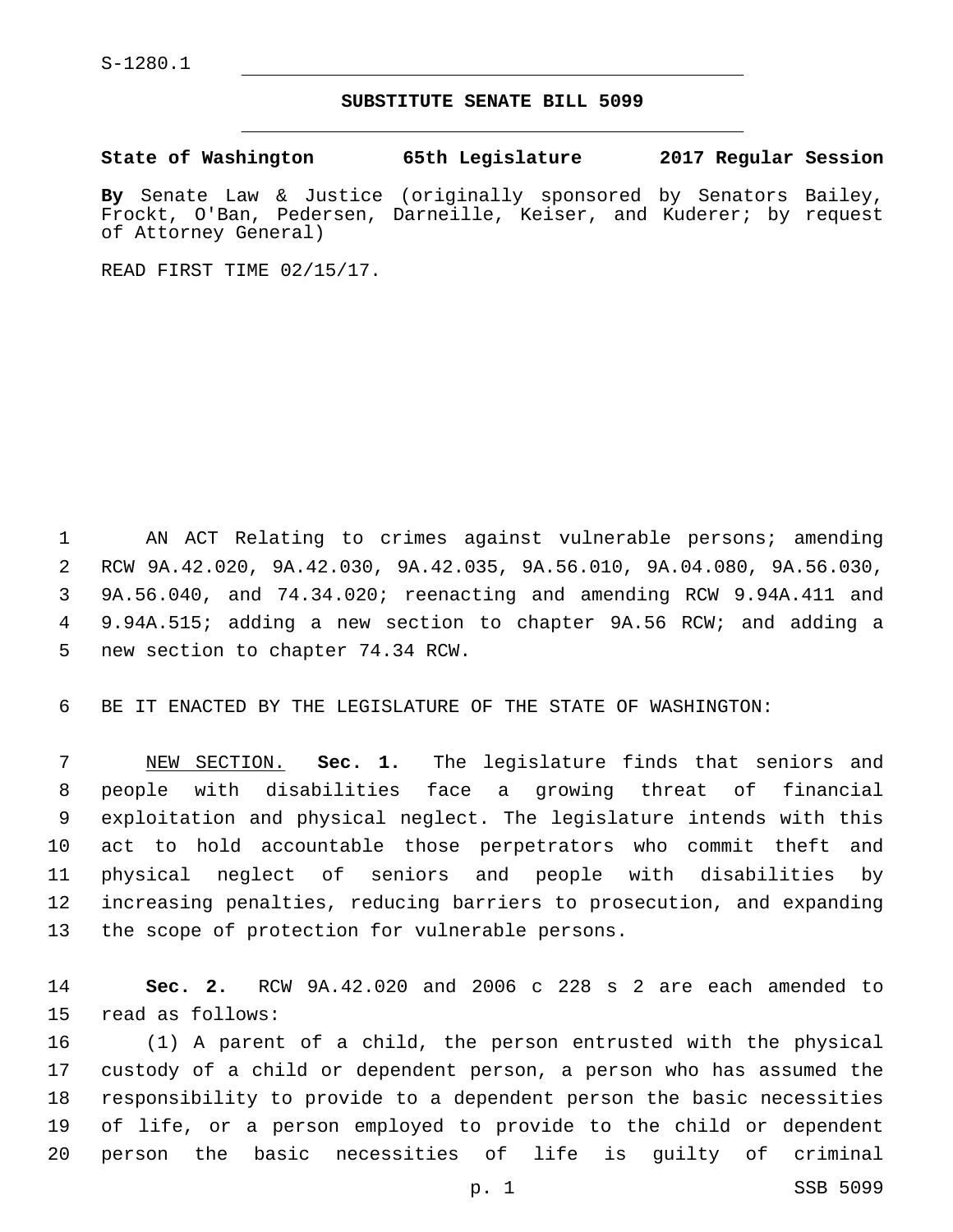S-1280.1

## **SUBSTITUTE SENATE BILL 5099**

**State of Washington 65th Legislature 2017 Regular Session**

**By** Senate Law & Justice (originally sponsored by Senators Bailey, Frockt, O'Ban, Pedersen, Darneille, Keiser, and Kuderer; by request of Attorney General)

READ FIRST TIME 02/15/17.

 AN ACT Relating to crimes against vulnerable persons; amending RCW 9A.42.020, 9A.42.030, 9A.42.035, 9A.56.010, 9A.04.080, 9A.56.030, 9A.56.040, and 74.34.020; reenacting and amending RCW 9.94A.411 and 9.94A.515; adding a new section to chapter 9A.56 RCW; and adding a 5 new section to chapter 74.34 RCW.

BE IT ENACTED BY THE LEGISLATURE OF THE STATE OF WASHINGTON:

 NEW SECTION. **Sec. 1.** The legislature finds that seniors and people with disabilities face a growing threat of financial exploitation and physical neglect. The legislature intends with this act to hold accountable those perpetrators who commit theft and physical neglect of seniors and people with disabilities by increasing penalties, reducing barriers to prosecution, and expanding the scope of protection for vulnerable persons.

 **Sec. 2.** RCW 9A.42.020 and 2006 c 228 s 2 are each amended to 15 read as follows:

 (1) A parent of a child, the person entrusted with the physical custody of a child or dependent person, a person who has assumed the responsibility to provide to a dependent person the basic necessities of life, or a person employed to provide to the child or dependent person the basic necessities of life is guilty of criminal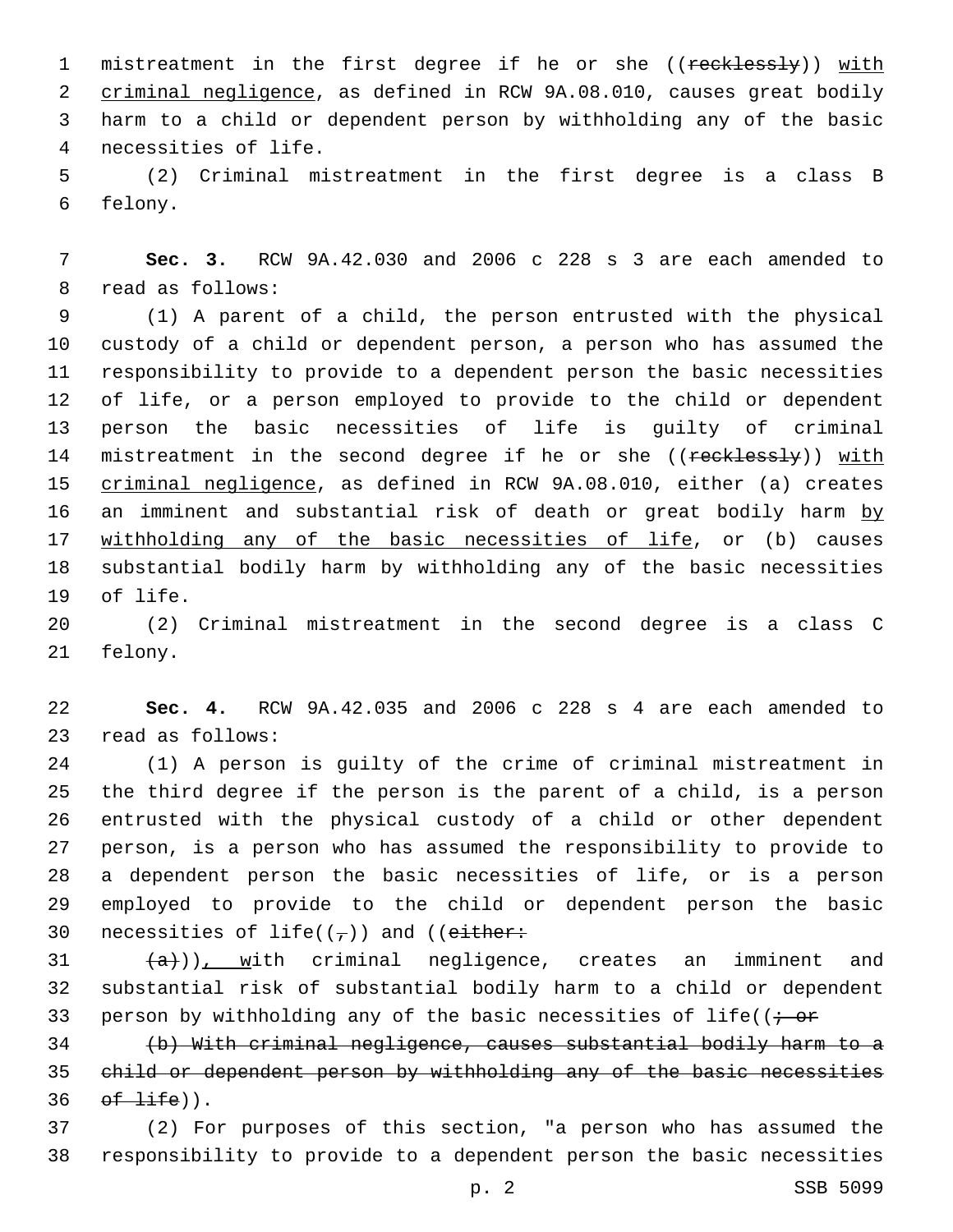1 mistreatment in the first degree if he or she ((recklessly)) with criminal negligence, as defined in RCW 9A.08.010, causes great bodily harm to a child or dependent person by withholding any of the basic 4 necessities of life.

 (2) Criminal mistreatment in the first degree is a class B 6 felony.

 **Sec. 3.** RCW 9A.42.030 and 2006 c 228 s 3 are each amended to 8 read as follows:

 (1) A parent of a child, the person entrusted with the physical custody of a child or dependent person, a person who has assumed the responsibility to provide to a dependent person the basic necessities of life, or a person employed to provide to the child or dependent person the basic necessities of life is guilty of criminal 14 mistreatment in the second degree if he or she ((recklessly)) with criminal negligence, as defined in RCW 9A.08.010, either (a) creates 16 an imminent and substantial risk of death or great bodily harm by 17 withholding any of the basic necessities of life, or (b) causes substantial bodily harm by withholding any of the basic necessities 19 of life.

 (2) Criminal mistreatment in the second degree is a class C 21 felony.

 **Sec. 4.** RCW 9A.42.035 and 2006 c 228 s 4 are each amended to 23 read as follows:

 (1) A person is guilty of the crime of criminal mistreatment in the third degree if the person is the parent of a child, is a person entrusted with the physical custody of a child or other dependent person, is a person who has assumed the responsibility to provide to a dependent person the basic necessities of life, or is a person employed to provide to the child or dependent person the basic 30 necessities of life( $(\tau)$ ) and ((either:

 $(31 \t (a))$ , with criminal negligence, creates an imminent and substantial risk of substantial bodily harm to a child or dependent 33 person by withholding any of the basic necessities of life( $\overline{t}$  or

 (b) With criminal negligence, causes substantial bodily harm to a child or dependent person by withholding any of the basic necessities  $\theta$ f life)).

 (2) For purposes of this section, "a person who has assumed the responsibility to provide to a dependent person the basic necessities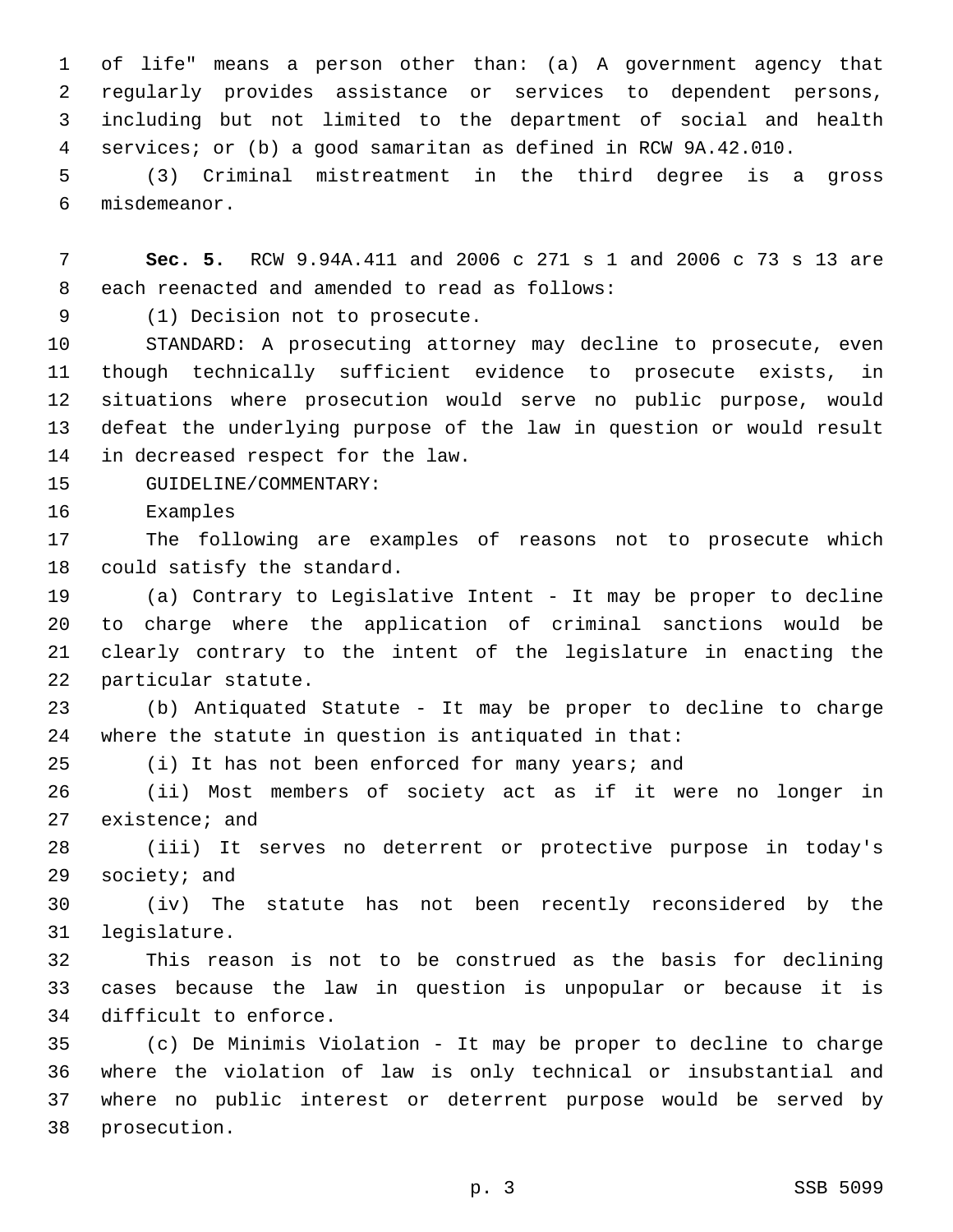of life" means a person other than: (a) A government agency that regularly provides assistance or services to dependent persons, including but not limited to the department of social and health services; or (b) a good samaritan as defined in RCW 9A.42.010.

 (3) Criminal mistreatment in the third degree is a gross misdemeanor.6

 **Sec. 5.** RCW 9.94A.411 and 2006 c 271 s 1 and 2006 c 73 s 13 are 8 each reenacted and amended to read as follows:

9 (1) Decision not to prosecute.

 STANDARD: A prosecuting attorney may decline to prosecute, even though technically sufficient evidence to prosecute exists, in situations where prosecution would serve no public purpose, would defeat the underlying purpose of the law in question or would result 14 in decreased respect for the law.

15 GUIDELINE/COMMENTARY:

16 Examples

 The following are examples of reasons not to prosecute which 18 could satisfy the standard.

 (a) Contrary to Legislative Intent - It may be proper to decline to charge where the application of criminal sanctions would be clearly contrary to the intent of the legislature in enacting the 22 particular statute.

 (b) Antiquated Statute - It may be proper to decline to charge where the statute in question is antiquated in that:

(i) It has not been enforced for many years; and

 (ii) Most members of society act as if it were no longer in 27 existence; and

 (iii) It serves no deterrent or protective purpose in today's 29 society; and

 (iv) The statute has not been recently reconsidered by the 31 legislature.

 This reason is not to be construed as the basis for declining cases because the law in question is unpopular or because it is 34 difficult to enforce.

 (c) De Minimis Violation - It may be proper to decline to charge where the violation of law is only technical or insubstantial and where no public interest or deterrent purpose would be served by 38 prosecution.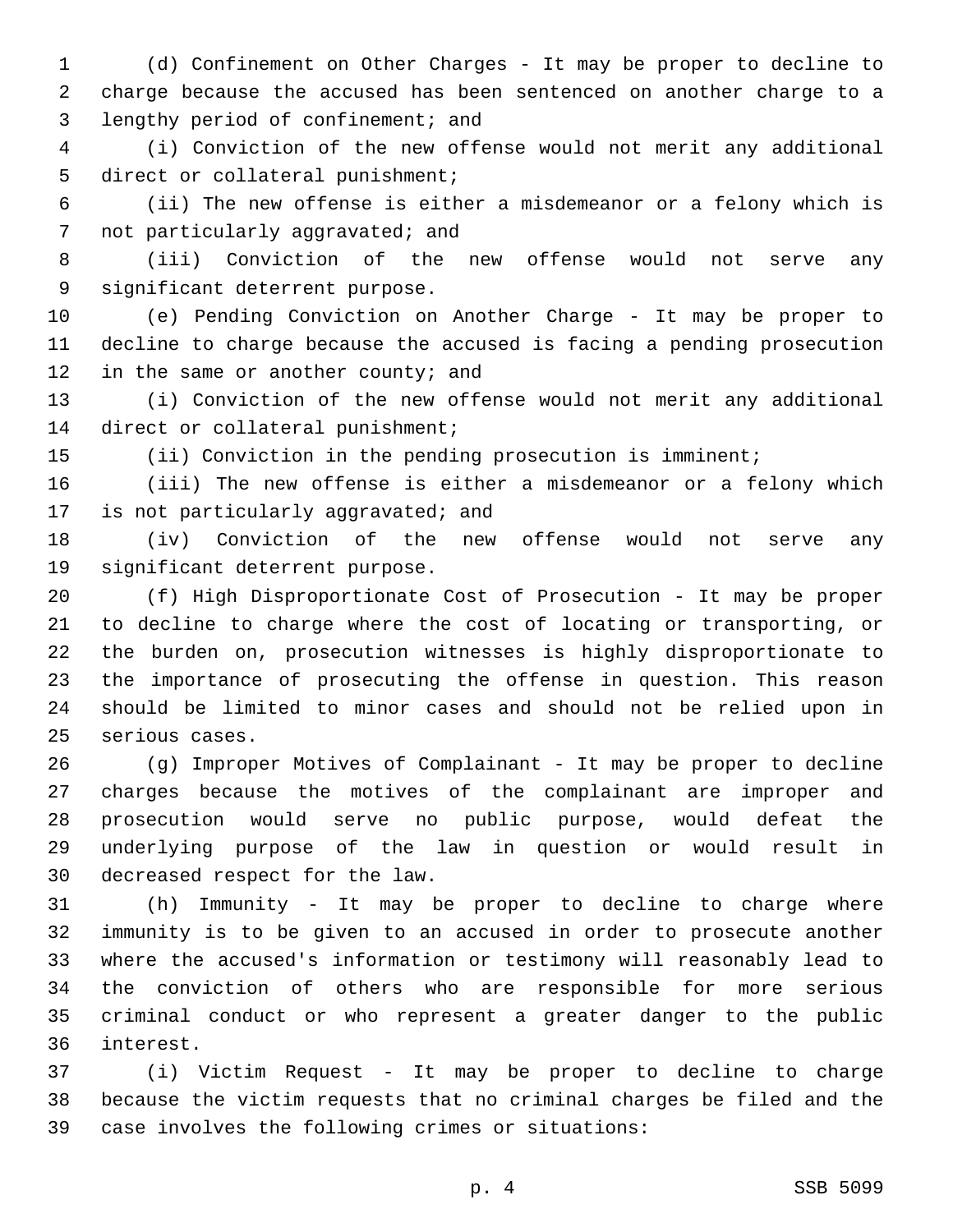(d) Confinement on Other Charges - It may be proper to decline to charge because the accused has been sentenced on another charge to a 3 lengthy period of confinement; and

 (i) Conviction of the new offense would not merit any additional 5 direct or collateral punishment;

 (ii) The new offense is either a misdemeanor or a felony which is 7 not particularly aggravated; and

 (iii) Conviction of the new offense would not serve any 9 significant deterrent purpose.

 (e) Pending Conviction on Another Charge - It may be proper to decline to charge because the accused is facing a pending prosecution 12 in the same or another county; and

 (i) Conviction of the new offense would not merit any additional 14 direct or collateral punishment;

(ii) Conviction in the pending prosecution is imminent;

 (iii) The new offense is either a misdemeanor or a felony which 17 is not particularly aggravated; and

 (iv) Conviction of the new offense would not serve any 19 significant deterrent purpose.

 (f) High Disproportionate Cost of Prosecution - It may be proper to decline to charge where the cost of locating or transporting, or the burden on, prosecution witnesses is highly disproportionate to the importance of prosecuting the offense in question. This reason should be limited to minor cases and should not be relied upon in 25 serious cases.

 (g) Improper Motives of Complainant - It may be proper to decline charges because the motives of the complainant are improper and prosecution would serve no public purpose, would defeat the underlying purpose of the law in question or would result in 30 decreased respect for the law.

 (h) Immunity - It may be proper to decline to charge where immunity is to be given to an accused in order to prosecute another where the accused's information or testimony will reasonably lead to the conviction of others who are responsible for more serious criminal conduct or who represent a greater danger to the public interest.36

 (i) Victim Request - It may be proper to decline to charge because the victim requests that no criminal charges be filed and the 39 case involves the following crimes or situations:

p. 4 SSB 5099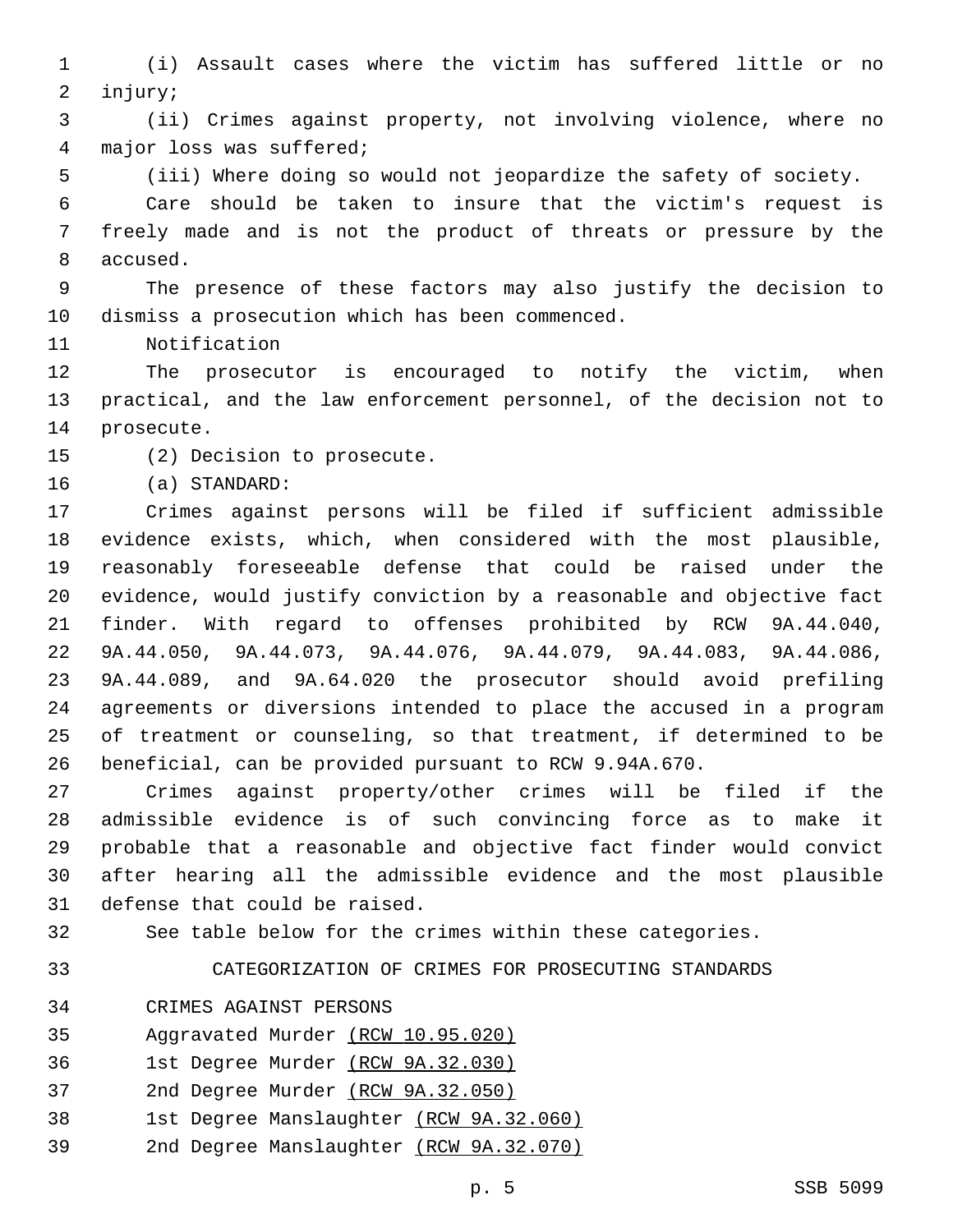(i) Assault cases where the victim has suffered little or no 2 injury;

 (ii) Crimes against property, not involving violence, where no 4 major loss was suffered;

(iii) Where doing so would not jeopardize the safety of society.

 Care should be taken to insure that the victim's request is freely made and is not the product of threats or pressure by the 8 accused.

 The presence of these factors may also justify the decision to 10 dismiss a prosecution which has been commenced.

11 Notification

 The prosecutor is encouraged to notify the victim, when practical, and the law enforcement personnel, of the decision not to 14 prosecute.

15 (2) Decision to prosecute.

(a) STANDARD:16

 Crimes against persons will be filed if sufficient admissible evidence exists, which, when considered with the most plausible, reasonably foreseeable defense that could be raised under the evidence, would justify conviction by a reasonable and objective fact finder. With regard to offenses prohibited by RCW 9A.44.040, 9A.44.050, 9A.44.073, 9A.44.076, 9A.44.079, 9A.44.083, 9A.44.086, 9A.44.089, and 9A.64.020 the prosecutor should avoid prefiling agreements or diversions intended to place the accused in a program of treatment or counseling, so that treatment, if determined to be beneficial, can be provided pursuant to RCW 9.94A.670.

 Crimes against property/other crimes will be filed if the admissible evidence is of such convincing force as to make it probable that a reasonable and objective fact finder would convict after hearing all the admissible evidence and the most plausible 31 defense that could be raised.

See table below for the crimes within these categories.

CATEGORIZATION OF CRIMES FOR PROSECUTING STANDARDS

34 CRIMES AGAINST PERSONS

Aggravated Murder (RCW 10.95.020)

1st Degree Murder (RCW 9A.32.030)

2nd Degree Murder (RCW 9A.32.050)

1st Degree Manslaughter (RCW 9A.32.060)

2nd Degree Manslaughter (RCW 9A.32.070)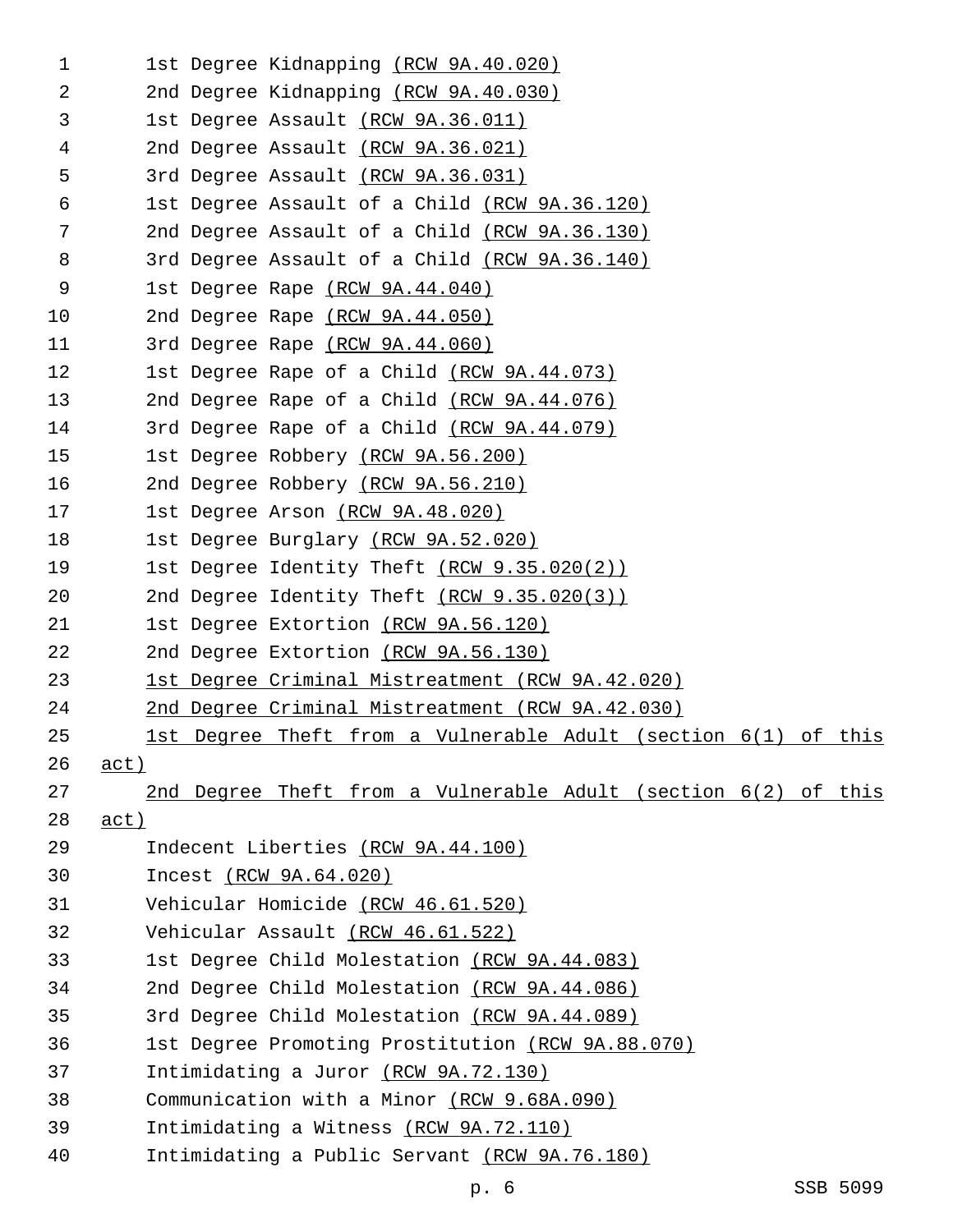1 1st Degree Kidnapping (RCW 9A.40.020) 2nd Degree Kidnapping (RCW 9A.40.030) 1st Degree Assault (RCW 9A.36.011) 2nd Degree Assault (RCW 9A.36.021) 3rd Degree Assault (RCW 9A.36.031) 1st Degree Assault of a Child (RCW 9A.36.120) 2nd Degree Assault of a Child (RCW 9A.36.130) 3rd Degree Assault of a Child (RCW 9A.36.140) 1st Degree Rape (RCW 9A.44.040) 2nd Degree Rape (RCW 9A.44.050) 3rd Degree Rape (RCW 9A.44.060) 12 1st Degree Rape of a Child (RCW 9A.44.073) 13 2nd Degree Rape of a Child (RCW 9A.44.076) 3rd Degree Rape of a Child (RCW 9A.44.079) 15 1st Degree Robbery (RCW 9A.56.200) 2nd Degree Robbery (RCW 9A.56.210) 17 1st Degree Arson (RCW 9A.48.020) 1st Degree Burglary (RCW 9A.52.020) 19 1st Degree Identity Theft (RCW 9.35.020(2)) 2nd Degree Identity Theft (RCW 9.35.020(3)) 21 1st Degree Extortion (RCW 9A.56.120) 2nd Degree Extortion (RCW 9A.56.130) 1st Degree Criminal Mistreatment (RCW 9A.42.020) 2nd Degree Criminal Mistreatment (RCW 9A.42.030) 1st Degree Theft from a Vulnerable Adult (section 6(1) of this act) 2nd Degree Theft from a Vulnerable Adult (section 6(2) of this act) Indecent Liberties (RCW 9A.44.100) Incest (RCW 9A.64.020) Vehicular Homicide (RCW 46.61.520) Vehicular Assault (RCW 46.61.522) 1st Degree Child Molestation (RCW 9A.44.083) 2nd Degree Child Molestation (RCW 9A.44.086) 3rd Degree Child Molestation (RCW 9A.44.089) 1st Degree Promoting Prostitution (RCW 9A.88.070) Intimidating a Juror (RCW 9A.72.130) Communication with a Minor (RCW 9.68A.090) Intimidating a Witness (RCW 9A.72.110) Intimidating a Public Servant (RCW 9A.76.180)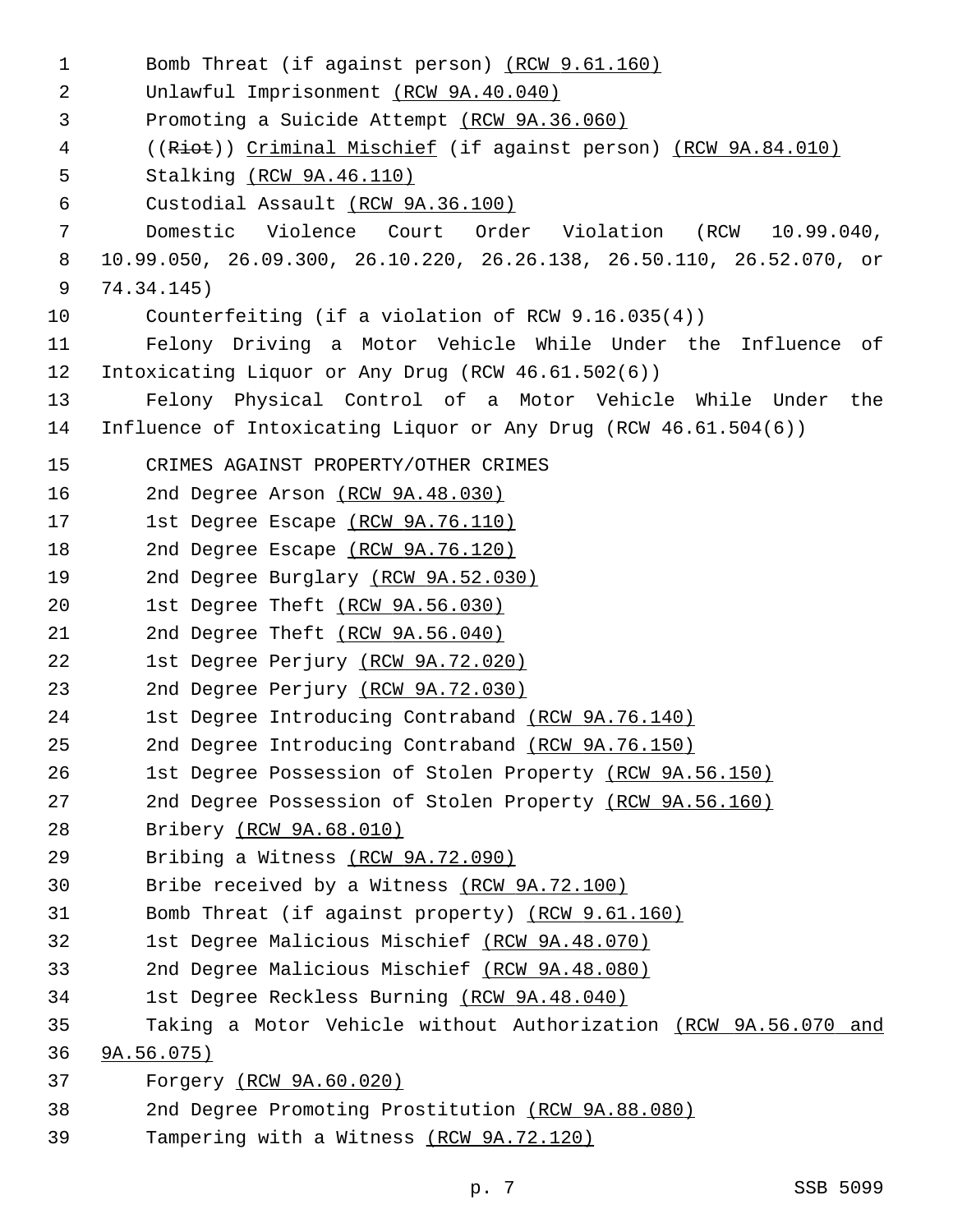| $\mathbf 1$    | Bomb Threat (if against person) (RCW 9.61.160)                       |  |  |
|----------------|----------------------------------------------------------------------|--|--|
| 2              | Unlawful Imprisonment (RCW 9A.40.040)                                |  |  |
| 3              | Promoting a Suicide Attempt (RCW 9A.36.060)                          |  |  |
| $\overline{4}$ | ((Riot)) Criminal Mischief (if against person) (RCW 9A.84.010)       |  |  |
| 5              | Stalking (RCW 9A.46.110)                                             |  |  |
| 6              | Custodial Assault (RCW 9A.36.100)                                    |  |  |
| 7              | Domestic Violence Court Order Violation (RCW 10.99.040,              |  |  |
| 8              | 10.99.050, 26.09.300, 26.10.220, 26.26.138, 26.50.110, 26.52.070, or |  |  |
| 9              | 74.34.145)                                                           |  |  |
| 10             | Counterfeiting (if a violation of RCW 9.16.035(4))                   |  |  |
| 11             | Felony Driving a Motor Vehicle While Under the Influence of          |  |  |
| 12             | Intoxicating Liquor or Any Drug (RCW 46.61.502(6))                   |  |  |
| 13             | Felony Physical Control of a Motor Vehicle While Under the           |  |  |
| 14             | Influence of Intoxicating Liquor or Any Drug (RCW 46.61.504(6))      |  |  |
| 15             | CRIMES AGAINST PROPERTY/OTHER CRIMES                                 |  |  |
| 16             | 2nd Degree Arson (RCW 9A.48.030)                                     |  |  |
| 17             | 1st Degree Escape (RCW 9A.76.110)                                    |  |  |
| 18             | 2nd Degree Escape (RCW 9A.76.120)                                    |  |  |
| 19             | 2nd Degree Burglary (RCW 9A.52.030)                                  |  |  |
| 20             | 1st Degree Theft (RCW 9A.56.030)                                     |  |  |
| 21             | 2nd Degree Theft (RCW 9A.56.040)                                     |  |  |
| 22             | 1st Degree Perjury (RCW 9A.72.020)                                   |  |  |
| 23             | 2nd Degree Perjury (RCW 9A.72.030)                                   |  |  |
| 24             | 1st Degree Introducing Contraband (RCW 9A.76.140)                    |  |  |
| 25             | 2nd Degree Introducing Contraband (RCW 9A.76.150)                    |  |  |
| 26             | 1st Degree Possession of Stolen Property (RCW 9A.56.150)             |  |  |
| 27             | 2nd Degree Possession of Stolen Property (RCW 9A.56.160)             |  |  |
| 28             | Bribery (RCW 9A.68.010)                                              |  |  |
| 29             | Bribing a Witness (RCW 9A.72.090)                                    |  |  |
| 30             | Bribe received by a Witness (RCW 9A.72.100)                          |  |  |
| 31             | Bomb Threat (if against property) (RCW 9.61.160)                     |  |  |
| 32             | 1st Degree Malicious Mischief (RCW 9A.48.070)                        |  |  |
| 33             | 2nd Degree Malicious Mischief (RCW 9A.48.080)                        |  |  |
| 34             | 1st Degree Reckless Burning (RCW 9A.48.040)                          |  |  |
| 35             | Taking a Motor Vehicle without Authorization (RCW 9A.56.070 and      |  |  |
| 36             | 9A.56.075)                                                           |  |  |
| 37             | Forgery (RCW 9A.60.020)                                              |  |  |
| 38             | 2nd Degree Promoting Prostitution (RCW 9A.88.080)                    |  |  |
| 39             | Tampering with a Witness (RCW 9A.72.120)                             |  |  |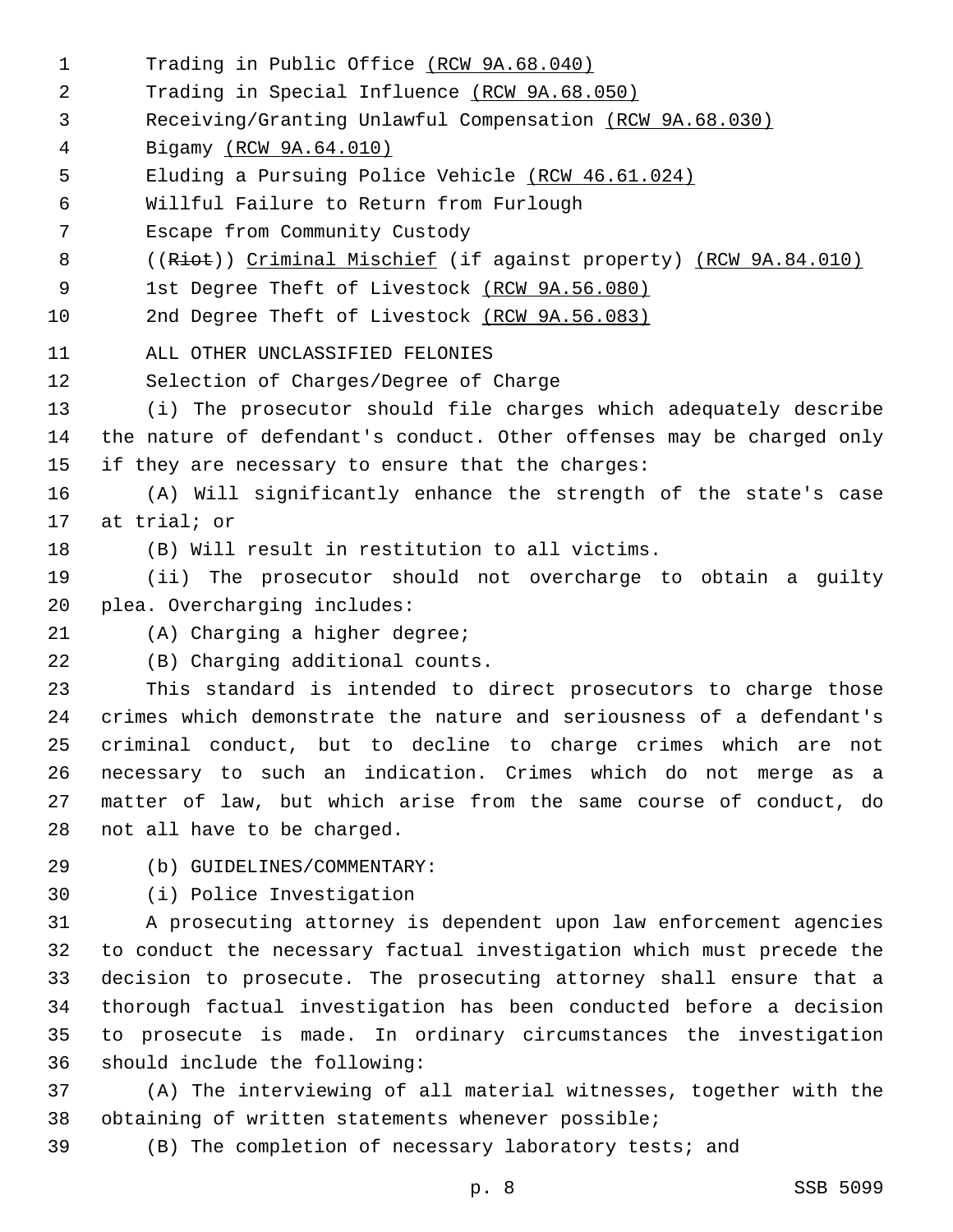- 1 Trading in Public Office (RCW 9A.68.040)
- 2 Trading in Special Influence (RCW 9A.68.050)
- 3 Receiving/Granting Unlawful Compensation (RCW 9A.68.030)
- 4 Bigamy (RCW 9A.64.010)
- 5 Eluding a Pursuing Police Vehicle (RCW 46.61.024)
- Willful Failure to Return from Furlough6
- 7 Escape from Community Custody
- 8 ((Riot)) Criminal Mischief (if against property) (RCW 9A.84.010)
- 9 1st Degree Theft of Livestock (RCW 9A.56.080)
- 10 2nd Degree Theft of Livestock (RCW 9A.56.083)
- 11 ALL OTHER UNCLASSIFIED FELONIES
- 12 Selection of Charges/Degree of Charge
- 13 (i) The prosecutor should file charges which adequately describe 14 the nature of defendant's conduct. Other offenses may be charged only 15 if they are necessary to ensure that the charges:
- 16 (A) Will significantly enhance the strength of the state's case 17 at trial; or
- 
- 18 (B) Will result in restitution to all victims.
- 19 (ii) The prosecutor should not overcharge to obtain a guilty 20 plea. Overcharging includes:
- 21 (A) Charging a higher degree;
- (B) Charging additional counts.22

 This standard is intended to direct prosecutors to charge those crimes which demonstrate the nature and seriousness of a defendant's criminal conduct, but to decline to charge crimes which are not necessary to such an indication. Crimes which do not merge as a matter of law, but which arise from the same course of conduct, do 28 not all have to be charged.

- (b) GUIDELINES/COMMENTARY:29
- 30 (i) Police Investigation

 A prosecuting attorney is dependent upon law enforcement agencies to conduct the necessary factual investigation which must precede the decision to prosecute. The prosecuting attorney shall ensure that a thorough factual investigation has been conducted before a decision to prosecute is made. In ordinary circumstances the investigation should include the following:36

37 (A) The interviewing of all material witnesses, together with the 38 obtaining of written statements whenever possible;

39 (B) The completion of necessary laboratory tests; and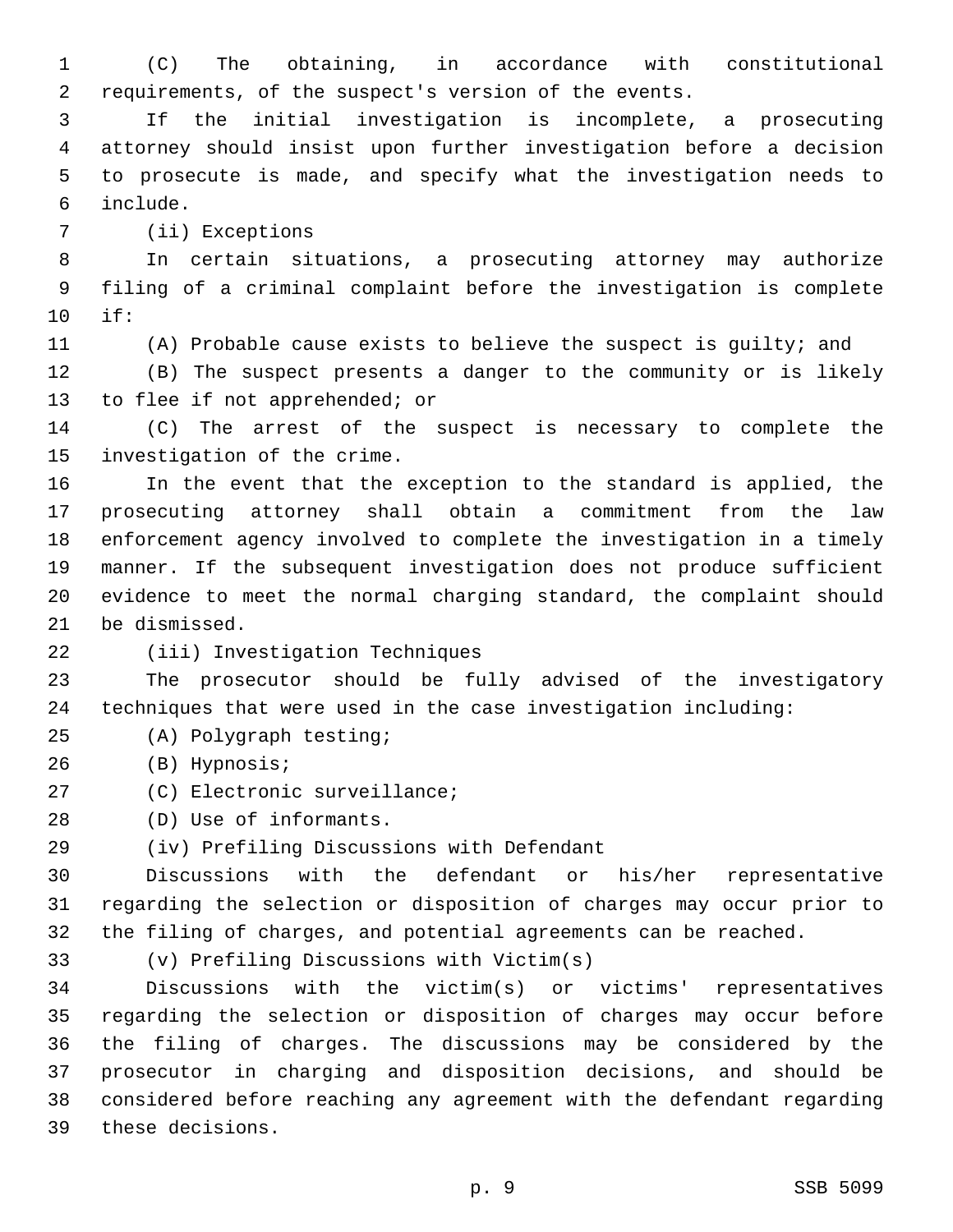(C) The obtaining, in accordance with constitutional requirements, of the suspect's version of the events.

 If the initial investigation is incomplete, a prosecuting attorney should insist upon further investigation before a decision to prosecute is made, and specify what the investigation needs to include.6

7 (ii) Exceptions

 In certain situations, a prosecuting attorney may authorize filing of a criminal complaint before the investigation is complete if:10

(A) Probable cause exists to believe the suspect is guilty; and

 (B) The suspect presents a danger to the community or is likely 13 to flee if not apprehended; or

 (C) The arrest of the suspect is necessary to complete the 15 investigation of the crime.

 In the event that the exception to the standard is applied, the prosecuting attorney shall obtain a commitment from the law enforcement agency involved to complete the investigation in a timely manner. If the subsequent investigation does not produce sufficient evidence to meet the normal charging standard, the complaint should 21 be dismissed.

## 22 (iii) Investigation Techniques

 The prosecutor should be fully advised of the investigatory techniques that were used in the case investigation including:

- 25 (A) Polygraph testing;
- (B) Hypnosis;26
- 27 (C) Electronic surveillance;
- 28 (D) Use of informants.
- (iv) Prefiling Discussions with Defendant29

 Discussions with the defendant or his/her representative regarding the selection or disposition of charges may occur prior to the filing of charges, and potential agreements can be reached.

(v) Prefiling Discussions with Victim(s)

 Discussions with the victim(s) or victims' representatives regarding the selection or disposition of charges may occur before the filing of charges. The discussions may be considered by the prosecutor in charging and disposition decisions, and should be considered before reaching any agreement with the defendant regarding 39 these decisions.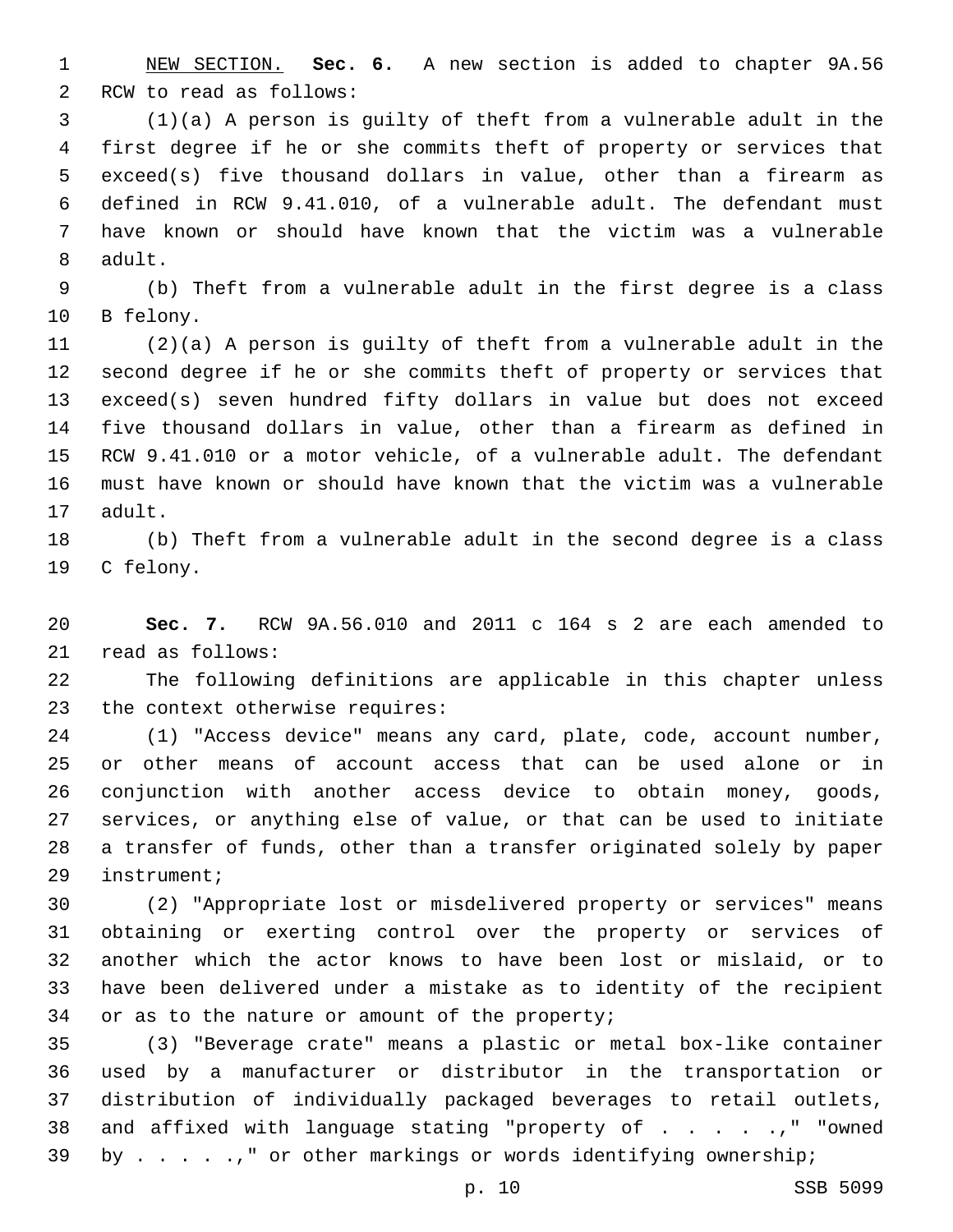NEW SECTION. **Sec. 6.** A new section is added to chapter 9A.56 2 RCW to read as follows:

 (1)(a) A person is guilty of theft from a vulnerable adult in the first degree if he or she commits theft of property or services that exceed(s) five thousand dollars in value, other than a firearm as defined in RCW 9.41.010, of a vulnerable adult. The defendant must have known or should have known that the victim was a vulnerable 8 adult.

 (b) Theft from a vulnerable adult in the first degree is a class 10 B felony.

 (2)(a) A person is guilty of theft from a vulnerable adult in the second degree if he or she commits theft of property or services that exceed(s) seven hundred fifty dollars in value but does not exceed five thousand dollars in value, other than a firearm as defined in RCW 9.41.010 or a motor vehicle, of a vulnerable adult. The defendant must have known or should have known that the victim was a vulnerable 17 adult.

 (b) Theft from a vulnerable adult in the second degree is a class 19 C felony.

 **Sec. 7.** RCW 9A.56.010 and 2011 c 164 s 2 are each amended to 21 read as follows:

 The following definitions are applicable in this chapter unless 23 the context otherwise requires:

 (1) "Access device" means any card, plate, code, account number, or other means of account access that can be used alone or in conjunction with another access device to obtain money, goods, services, or anything else of value, or that can be used to initiate a transfer of funds, other than a transfer originated solely by paper 29 instrument;

 (2) "Appropriate lost or misdelivered property or services" means obtaining or exerting control over the property or services of another which the actor knows to have been lost or mislaid, or to have been delivered under a mistake as to identity of the recipient 34 or as to the nature or amount of the property;

 (3) "Beverage crate" means a plastic or metal box-like container used by a manufacturer or distributor in the transportation or distribution of individually packaged beverages to retail outlets, 38 and affixed with language stating "property of . . . . .," "owned by . . . . .," or other markings or words identifying ownership;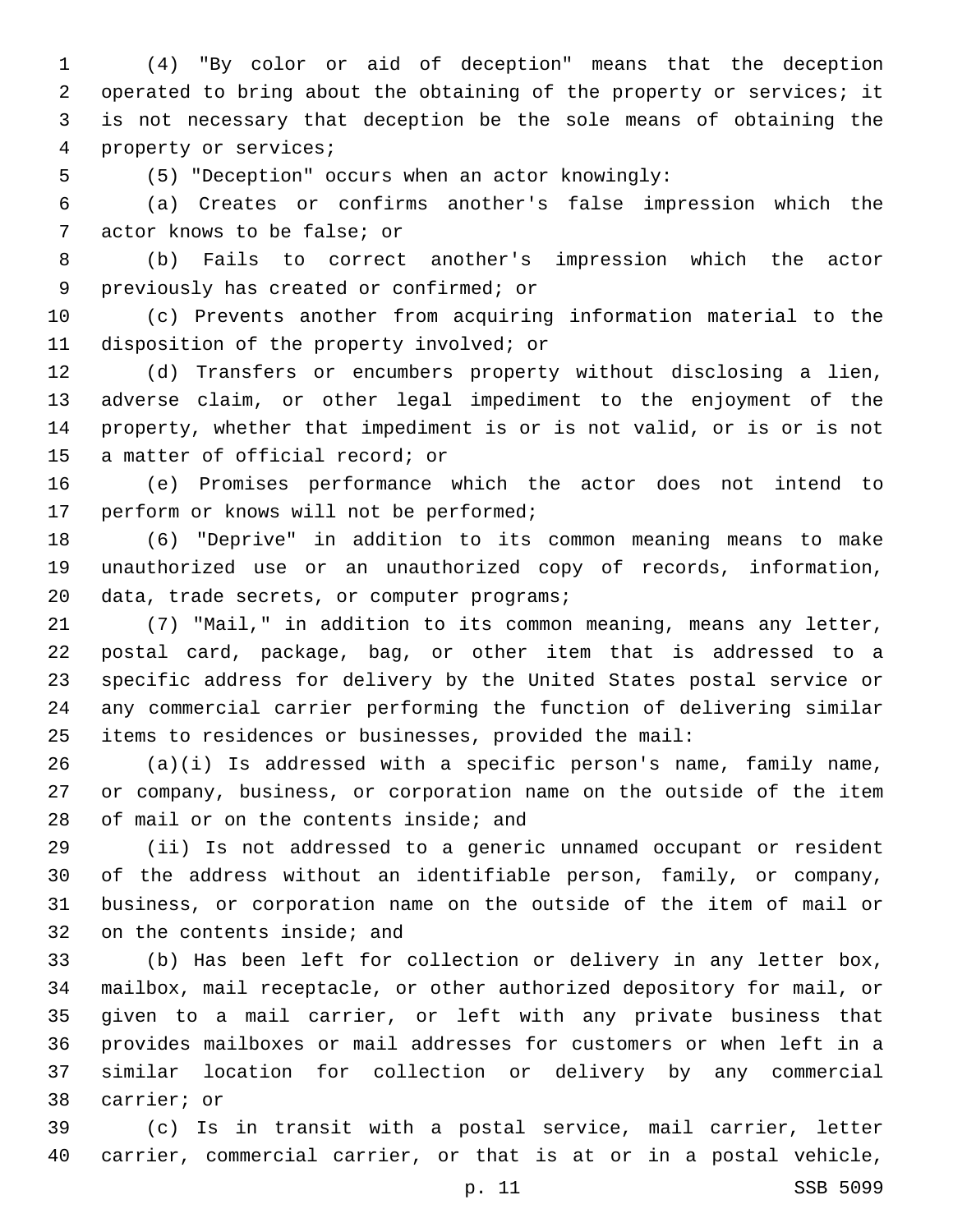(4) "By color or aid of deception" means that the deception operated to bring about the obtaining of the property or services; it is not necessary that deception be the sole means of obtaining the 4 property or services;

(5) "Deception" occurs when an actor knowingly:

 (a) Creates or confirms another's false impression which the 7 actor knows to be false; or

 (b) Fails to correct another's impression which the actor 9 previously has created or confirmed; or

 (c) Prevents another from acquiring information material to the 11 disposition of the property involved; or

 (d) Transfers or encumbers property without disclosing a lien, adverse claim, or other legal impediment to the enjoyment of the property, whether that impediment is or is not valid, or is or is not 15 a matter of official record; or

 (e) Promises performance which the actor does not intend to 17 perform or knows will not be performed;

 (6) "Deprive" in addition to its common meaning means to make unauthorized use or an unauthorized copy of records, information, 20 data, trade secrets, or computer programs;

 (7) "Mail," in addition to its common meaning, means any letter, postal card, package, bag, or other item that is addressed to a specific address for delivery by the United States postal service or any commercial carrier performing the function of delivering similar items to residences or businesses, provided the mail:

 (a)(i) Is addressed with a specific person's name, family name, or company, business, or corporation name on the outside of the item 28 of mail or on the contents inside; and

 (ii) Is not addressed to a generic unnamed occupant or resident of the address without an identifiable person, family, or company, business, or corporation name on the outside of the item of mail or 32 on the contents inside; and

 (b) Has been left for collection or delivery in any letter box, mailbox, mail receptacle, or other authorized depository for mail, or given to a mail carrier, or left with any private business that provides mailboxes or mail addresses for customers or when left in a similar location for collection or delivery by any commercial 38 carrier; or

 (c) Is in transit with a postal service, mail carrier, letter carrier, commercial carrier, or that is at or in a postal vehicle,

p. 11 SSB 5099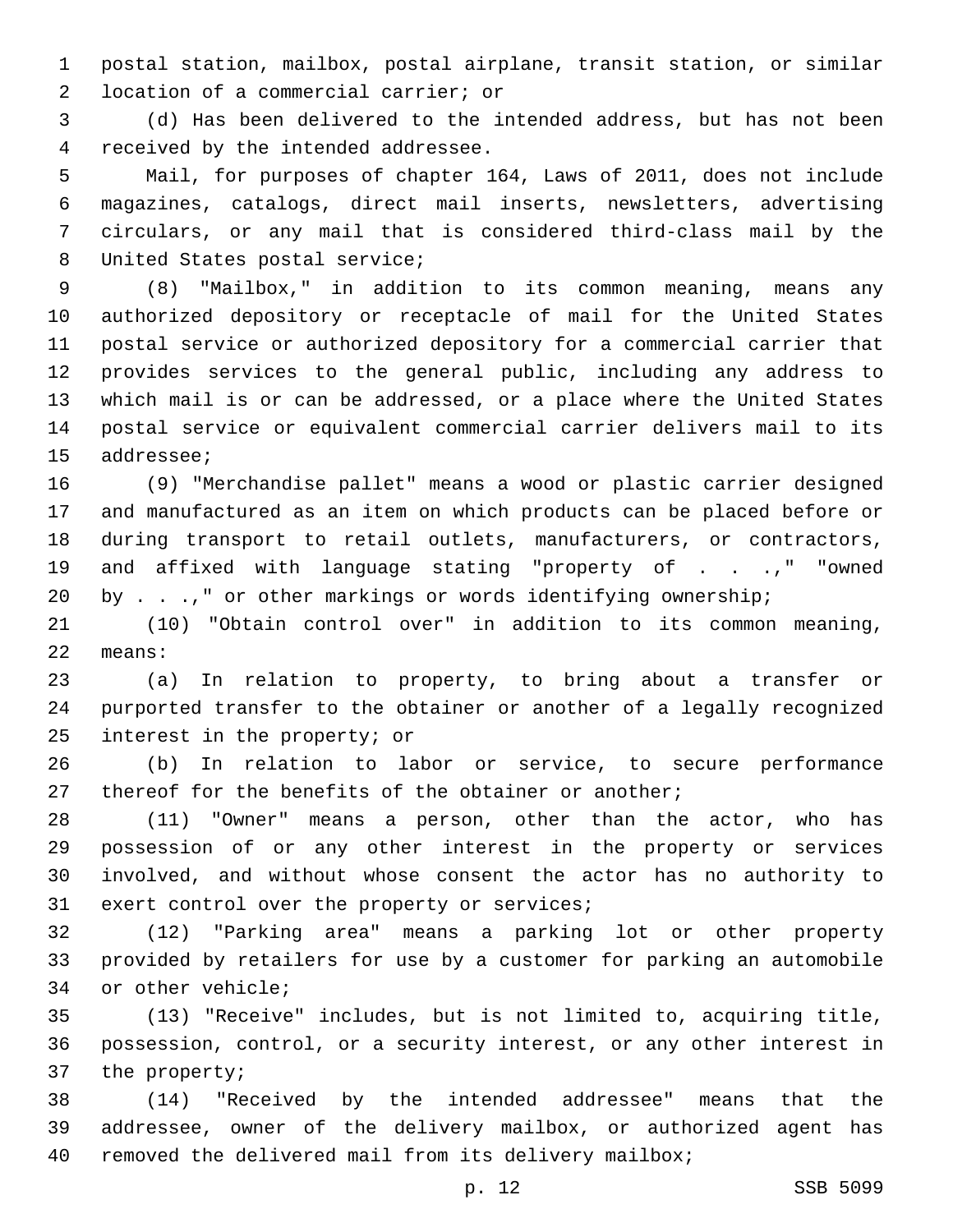postal station, mailbox, postal airplane, transit station, or similar 2 location of a commercial carrier; or

 (d) Has been delivered to the intended address, but has not been 4 received by the intended addressee.

 Mail, for purposes of chapter 164, Laws of 2011, does not include magazines, catalogs, direct mail inserts, newsletters, advertising circulars, or any mail that is considered third-class mail by the 8 United States postal service;

 (8) "Mailbox," in addition to its common meaning, means any authorized depository or receptacle of mail for the United States postal service or authorized depository for a commercial carrier that provides services to the general public, including any address to which mail is or can be addressed, or a place where the United States postal service or equivalent commercial carrier delivers mail to its 15 addressee;

 (9) "Merchandise pallet" means a wood or plastic carrier designed and manufactured as an item on which products can be placed before or during transport to retail outlets, manufacturers, or contractors, 19 and affixed with language stating "property of . . .," "owned by . . .," or other markings or words identifying ownership;

 (10) "Obtain control over" in addition to its common meaning, 22 means:

 (a) In relation to property, to bring about a transfer or purported transfer to the obtainer or another of a legally recognized 25 interest in the property; or

 (b) In relation to labor or service, to secure performance thereof for the benefits of the obtainer or another;

 (11) "Owner" means a person, other than the actor, who has possession of or any other interest in the property or services involved, and without whose consent the actor has no authority to 31 exert control over the property or services;

 (12) "Parking area" means a parking lot or other property provided by retailers for use by a customer for parking an automobile 34 or other vehicle;

 (13) "Receive" includes, but is not limited to, acquiring title, possession, control, or a security interest, or any other interest in 37 the property;

 (14) "Received by the intended addressee" means that the addressee, owner of the delivery mailbox, or authorized agent has removed the delivered mail from its delivery mailbox;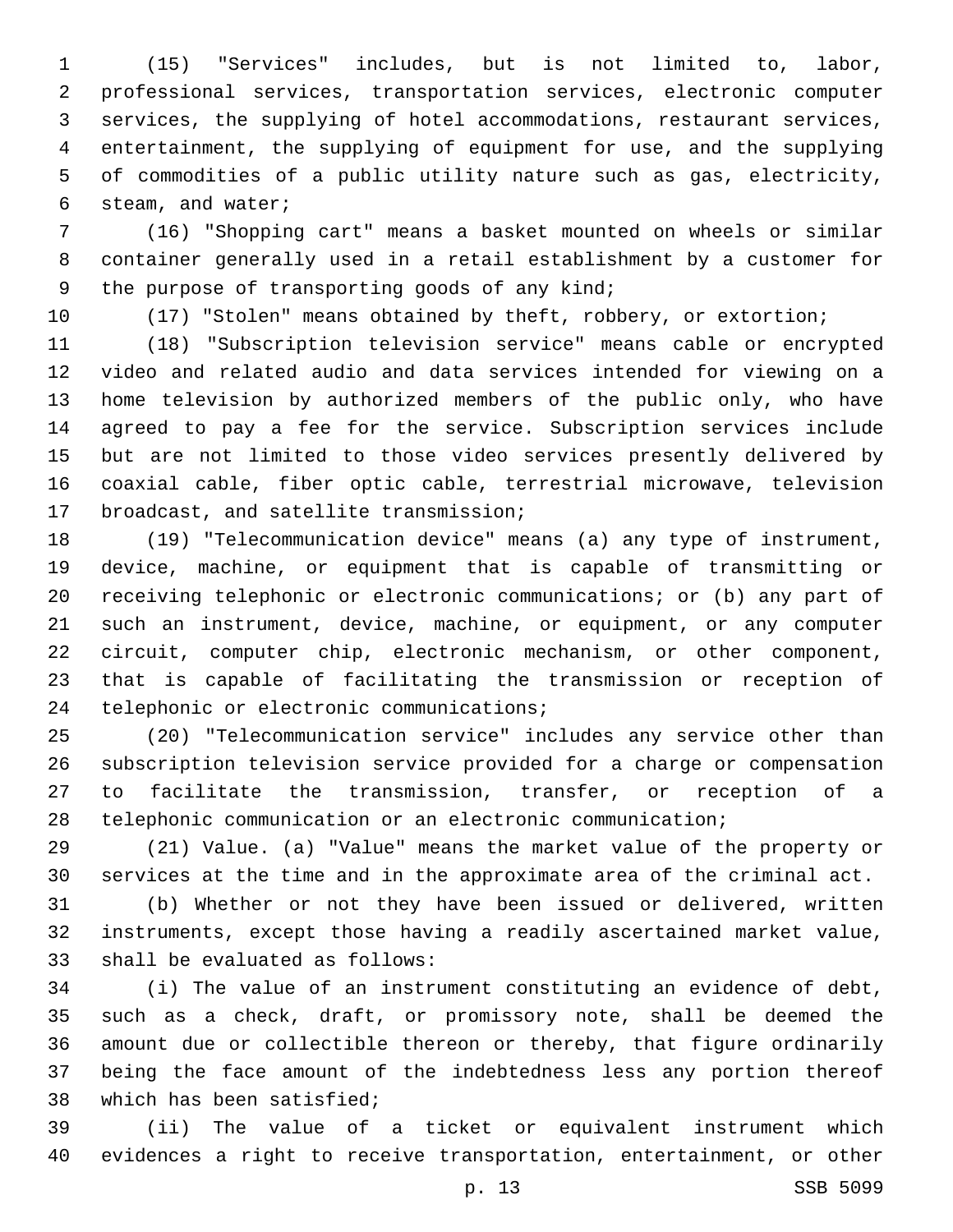(15) "Services" includes, but is not limited to, labor, professional services, transportation services, electronic computer services, the supplying of hotel accommodations, restaurant services, entertainment, the supplying of equipment for use, and the supplying of commodities of a public utility nature such as gas, electricity, 6 steam, and water;

 (16) "Shopping cart" means a basket mounted on wheels or similar container generally used in a retail establishment by a customer for 9 the purpose of transporting goods of any kind;

(17) "Stolen" means obtained by theft, robbery, or extortion;

 (18) "Subscription television service" means cable or encrypted video and related audio and data services intended for viewing on a home television by authorized members of the public only, who have agreed to pay a fee for the service. Subscription services include but are not limited to those video services presently delivered by coaxial cable, fiber optic cable, terrestrial microwave, television 17 broadcast, and satellite transmission;

 (19) "Telecommunication device" means (a) any type of instrument, device, machine, or equipment that is capable of transmitting or receiving telephonic or electronic communications; or (b) any part of such an instrument, device, machine, or equipment, or any computer circuit, computer chip, electronic mechanism, or other component, that is capable of facilitating the transmission or reception of 24 telephonic or electronic communications;

 (20) "Telecommunication service" includes any service other than subscription television service provided for a charge or compensation to facilitate the transmission, transfer, or reception of a telephonic communication or an electronic communication;

 (21) Value. (a) "Value" means the market value of the property or services at the time and in the approximate area of the criminal act.

 (b) Whether or not they have been issued or delivered, written instruments, except those having a readily ascertained market value, 33 shall be evaluated as follows:

 (i) The value of an instrument constituting an evidence of debt, such as a check, draft, or promissory note, shall be deemed the amount due or collectible thereon or thereby, that figure ordinarily being the face amount of the indebtedness less any portion thereof 38 which has been satisfied;

 (ii) The value of a ticket or equivalent instrument which evidences a right to receive transportation, entertainment, or other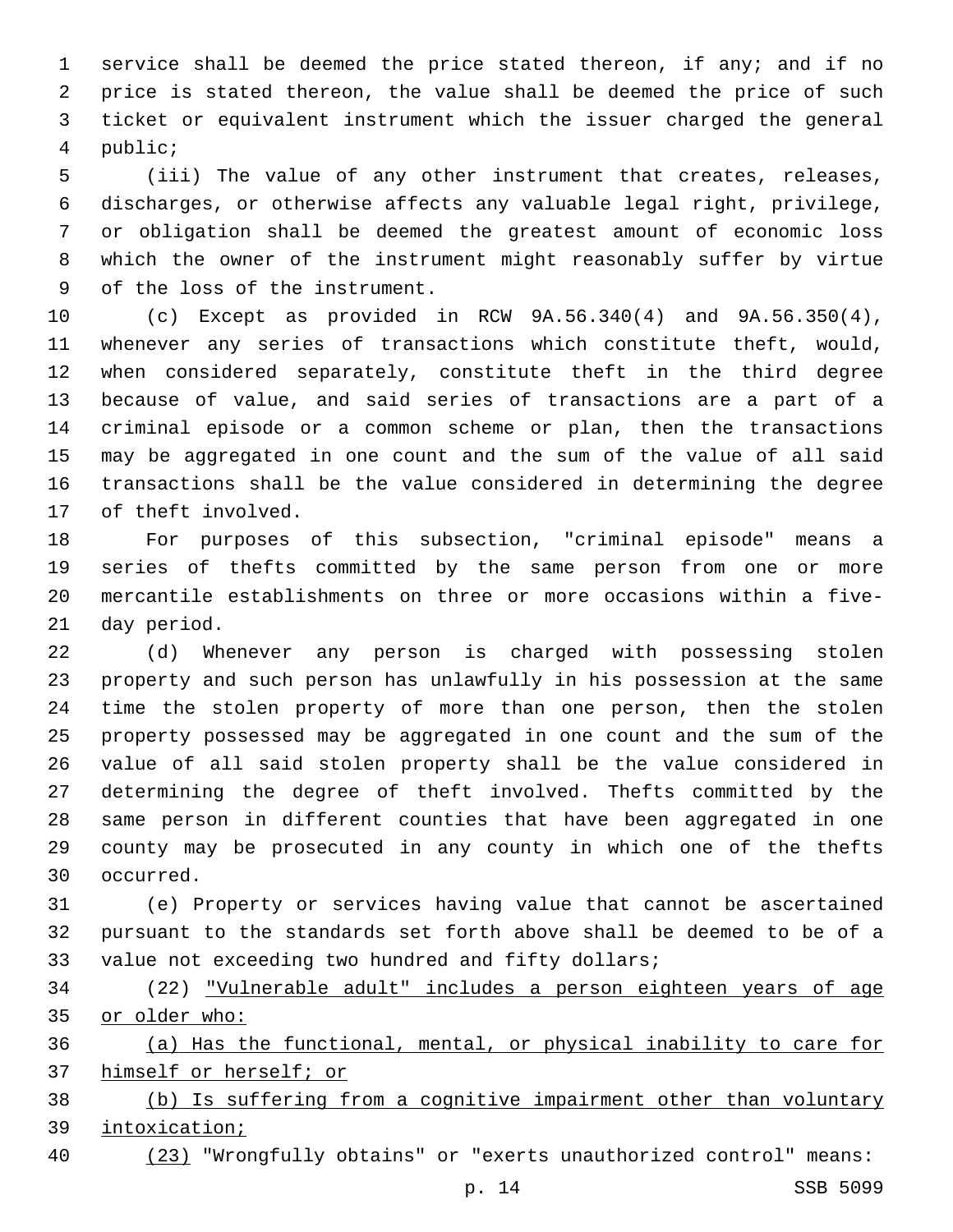service shall be deemed the price stated thereon, if any; and if no price is stated thereon, the value shall be deemed the price of such ticket or equivalent instrument which the issuer charged the general public;4

 (iii) The value of any other instrument that creates, releases, discharges, or otherwise affects any valuable legal right, privilege, or obligation shall be deemed the greatest amount of economic loss which the owner of the instrument might reasonably suffer by virtue 9 of the loss of the instrument.

 (c) Except as provided in RCW 9A.56.340(4) and 9A.56.350(4), whenever any series of transactions which constitute theft, would, when considered separately, constitute theft in the third degree because of value, and said series of transactions are a part of a criminal episode or a common scheme or plan, then the transactions may be aggregated in one count and the sum of the value of all said transactions shall be the value considered in determining the degree 17 of theft involved.

 For purposes of this subsection, "criminal episode" means a series of thefts committed by the same person from one or more mercantile establishments on three or more occasions within a five-21 day period.

 (d) Whenever any person is charged with possessing stolen property and such person has unlawfully in his possession at the same time the stolen property of more than one person, then the stolen property possessed may be aggregated in one count and the sum of the value of all said stolen property shall be the value considered in determining the degree of theft involved. Thefts committed by the same person in different counties that have been aggregated in one county may be prosecuted in any county in which one of the thefts 30 occurred.

 (e) Property or services having value that cannot be ascertained pursuant to the standards set forth above shall be deemed to be of a value not exceeding two hundred and fifty dollars;

 (22) "Vulnerable adult" includes a person eighteen years of age or older who:

 (a) Has the functional, mental, or physical inability to care for himself or herself; or

 (b) Is suffering from a cognitive impairment other than voluntary intoxication;

(23) "Wrongfully obtains" or "exerts unauthorized control" means: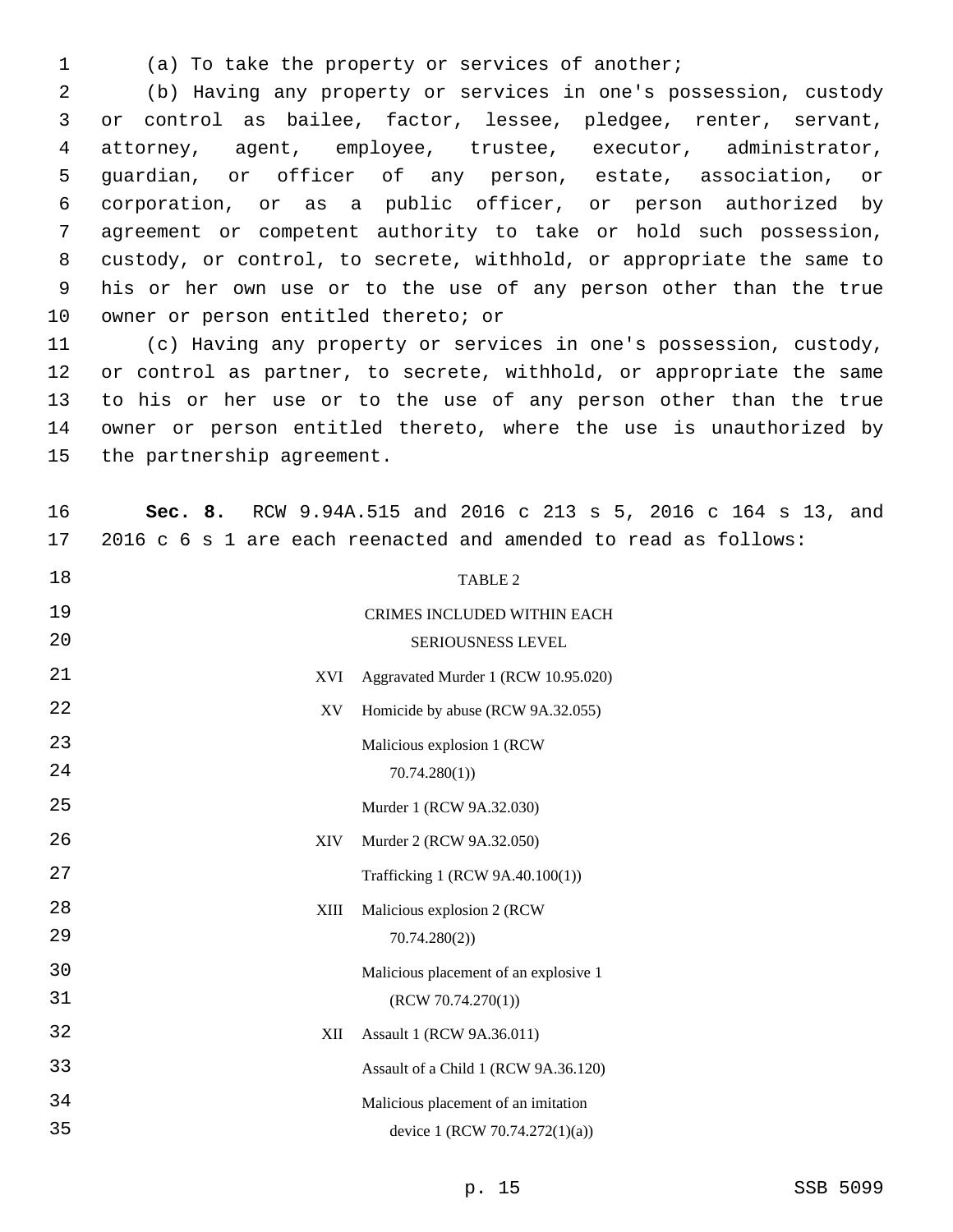(a) To take the property or services of another;

 (b) Having any property or services in one's possession, custody or control as bailee, factor, lessee, pledgee, renter, servant, attorney, agent, employee, trustee, executor, administrator, guardian, or officer of any person, estate, association, or corporation, or as a public officer, or person authorized by agreement or competent authority to take or hold such possession, custody, or control, to secrete, withhold, or appropriate the same to his or her own use or to the use of any person other than the true 10 owner or person entitled thereto; or

 (c) Having any property or services in one's possession, custody, or control as partner, to secrete, withhold, or appropriate the same to his or her use or to the use of any person other than the true owner or person entitled thereto, where the use is unauthorized by 15 the partnership agreement.

 **Sec. 8.** RCW 9.94A.515 and 2016 c 213 s 5, 2016 c 164 s 13, and 2016 c 6 s 1 are each reenacted and amended to read as follows:

| 18 | TABLE 2                                           |
|----|---------------------------------------------------|
| 19 | CRIMES INCLUDED WITHIN EACH                       |
| 20 | SERIOUSNESS LEVEL                                 |
| 21 | Aggravated Murder 1 (RCW 10.95.020)<br><b>XVI</b> |
| 22 | Homicide by abuse (RCW 9A.32.055)<br>XV           |
| 23 | Malicious explosion 1 (RCW                        |
| 24 | 70.74.280(1)                                      |
| 25 | Murder 1 (RCW 9A.32.030)                          |
| 26 | <b>XIV</b><br>Murder 2 (RCW 9A.32.050)            |
| 27 | Trafficking 1 (RCW 9A.40.100(1))                  |
| 28 | Malicious explosion 2 (RCW<br>XIII                |
| 29 | 70.74.280(2)                                      |
| 30 | Malicious placement of an explosive 1             |
| 31 | (RCW 70.74.270(1))                                |
| 32 | XII<br>Assault 1 (RCW 9A.36.011)                  |
| 33 | Assault of a Child 1 (RCW 9A.36.120)              |
| 34 | Malicious placement of an imitation               |
| 35 | device 1 (RCW 70.74.272(1)(a))                    |
|    |                                                   |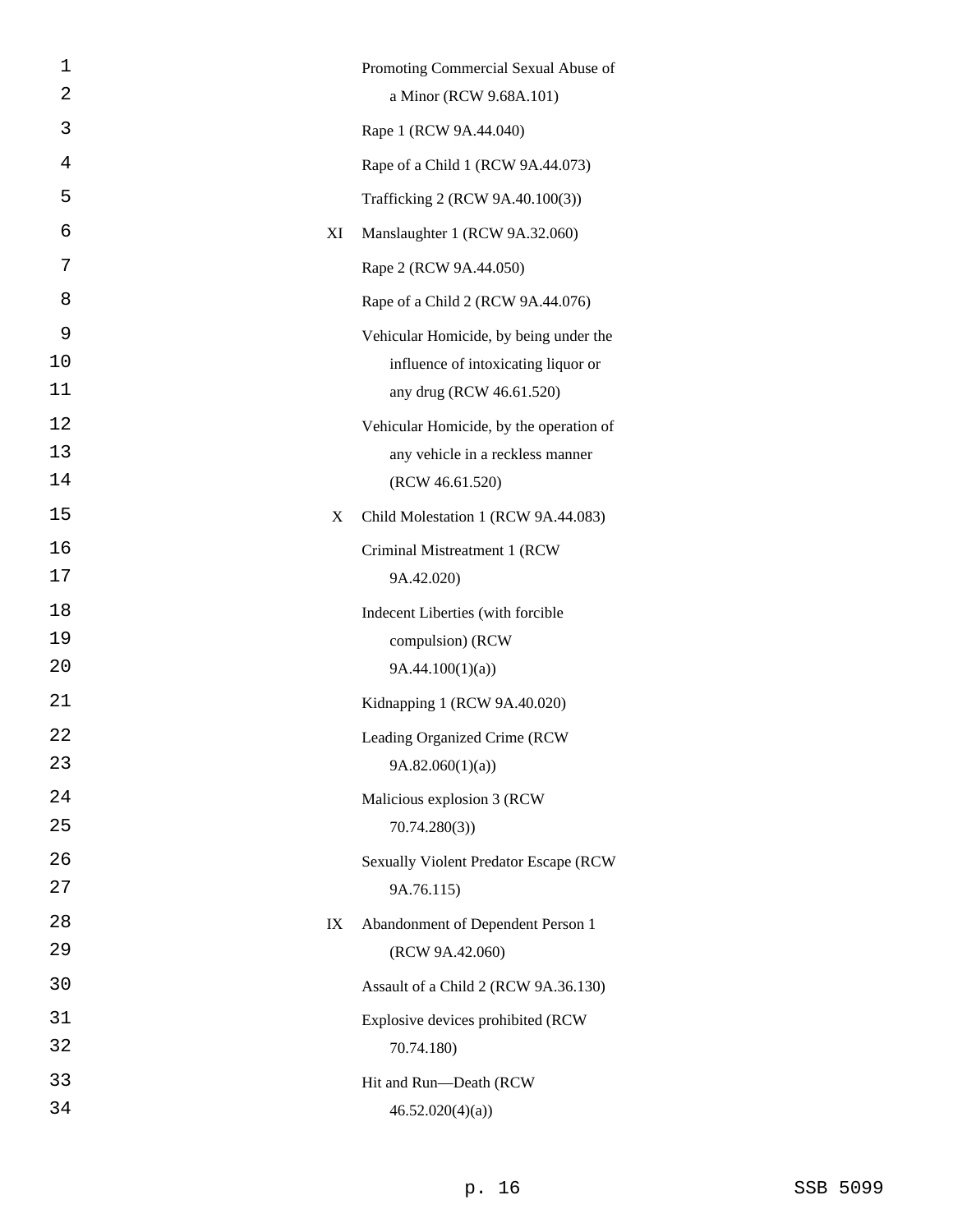| 1  |    | Promoting Commercial Sexual Abuse of          |
|----|----|-----------------------------------------------|
| 2  |    | a Minor (RCW 9.68A.101)                       |
| 3  |    | Rape 1 (RCW 9A.44.040)                        |
| 4  |    | Rape of a Child 1 (RCW 9A.44.073)             |
| 5  |    | Trafficking 2 (RCW 9A.40.100(3))              |
| 6  | XI | Manslaughter 1 (RCW 9A.32.060)                |
| 7  |    | Rape 2 (RCW 9A.44.050)                        |
| 8  |    | Rape of a Child 2 (RCW 9A.44.076)             |
| 9  |    | Vehicular Homicide, by being under the        |
| 10 |    | influence of intoxicating liquor or           |
| 11 |    | any drug (RCW 46.61.520)                      |
| 12 |    | Vehicular Homicide, by the operation of       |
| 13 |    | any vehicle in a reckless manner              |
| 14 |    | (RCW 46.61.520)                               |
| 15 | X  | Child Molestation 1 (RCW 9A.44.083)           |
| 16 |    | Criminal Mistreatment 1 (RCW                  |
| 17 |    | 9A.42.020)                                    |
| 18 |    | Indecent Liberties (with forcible             |
| 19 |    | compulsion) (RCW                              |
| 20 |    | 9A.44.100(1)(a)                               |
| 21 |    | Kidnapping 1 (RCW 9A.40.020)                  |
| 22 |    | Leading Organized Crime (RCW                  |
| 23 |    | 9A.82.060(1)(a)                               |
| 24 |    | Malicious explosion 3 (RCW                    |
| 25 |    | 70.74.280(3)                                  |
| 26 |    | <b>Sexually Violent Predator Escape (RCW)</b> |
| 27 |    | 9A.76.115)                                    |
| 28 | IX | Abandonment of Dependent Person 1             |
| 29 |    | (RCW 9A.42.060)                               |
| 30 |    | Assault of a Child 2 (RCW 9A.36.130)          |
| 31 |    | Explosive devices prohibited (RCW             |
| 32 |    | 70.74.180)                                    |
| 33 |    | Hit and Run-Death (RCW                        |
| 34 |    | 46.52.020(4)(a)                               |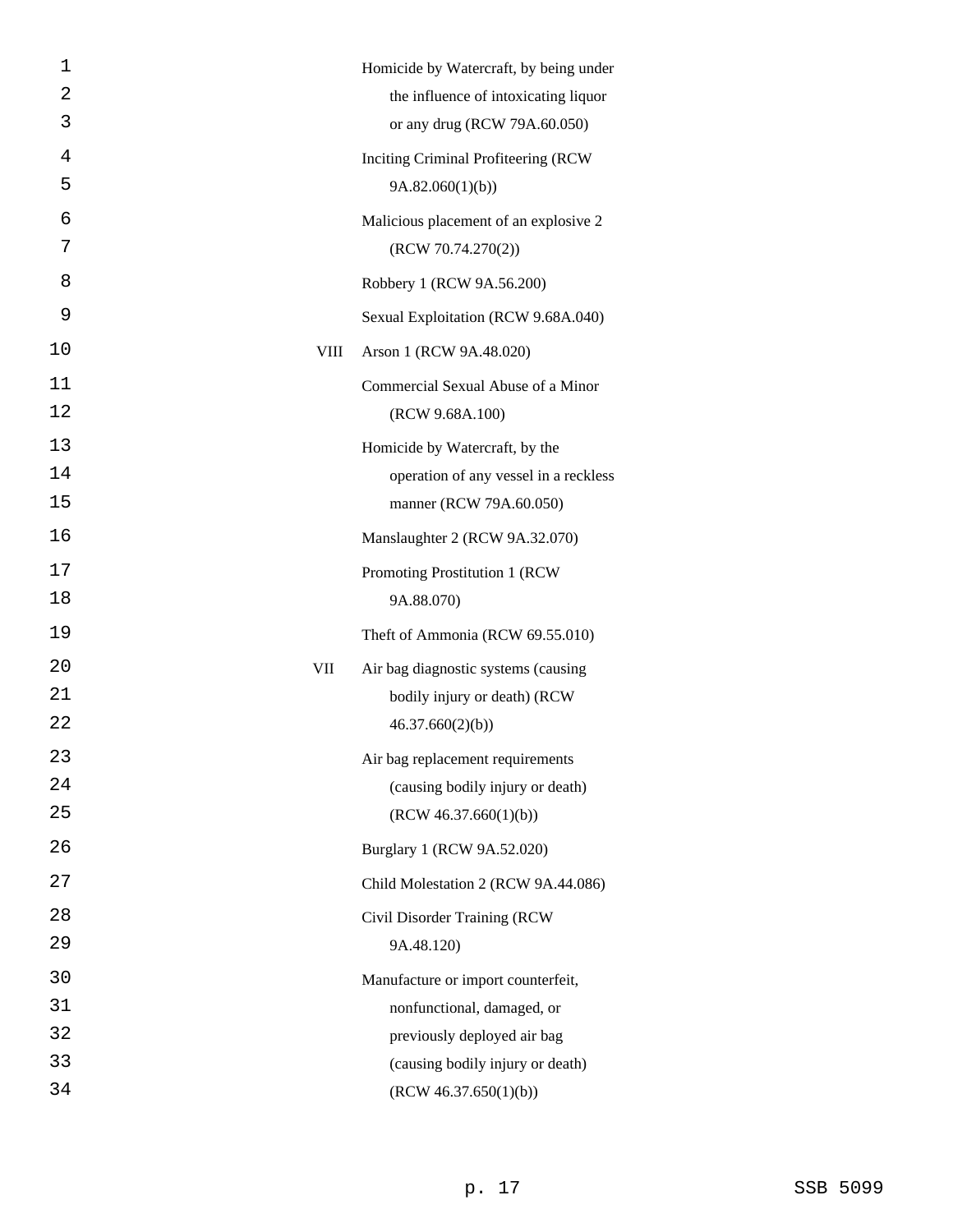| 1  |             | Homicide by Watercraft, by being under |
|----|-------------|----------------------------------------|
| 2  |             | the influence of intoxicating liquor   |
| 3  |             | or any drug (RCW 79A.60.050)           |
| 4  |             | Inciting Criminal Profiteering (RCW    |
| 5  |             | 9A.82.060(1)(b)                        |
| 6  |             | Malicious placement of an explosive 2  |
| 7  |             | (RCW 70.74.270(2))                     |
| 8  |             | Robbery 1 (RCW 9A.56.200)              |
| 9  |             | Sexual Exploitation (RCW 9.68A.040)    |
| 10 | <b>VIII</b> | Arson 1 (RCW 9A.48.020)                |
| 11 |             | Commercial Sexual Abuse of a Minor     |
| 12 |             | (RCW 9.68A.100)                        |
| 13 |             | Homicide by Watercraft, by the         |
| 14 |             | operation of any vessel in a reckless  |
| 15 |             | manner (RCW 79A.60.050)                |
| 16 |             | Manslaughter 2 (RCW 9A.32.070)         |
| 17 |             | Promoting Prostitution 1 (RCW          |
| 18 |             | 9A.88.070)                             |
| 19 |             | Theft of Ammonia (RCW 69.55.010)       |
| 20 | VII         | Air bag diagnostic systems (causing    |
| 21 |             | bodily injury or death) (RCW           |
| 22 |             | 46.37.660(2)(b)                        |
| 23 |             | Air bag replacement requirements       |
| 24 |             | (causing bodily injury or death)       |
| 25 |             | (RCW 46.37.660(1)(b))                  |
| 26 |             | Burglary 1 (RCW 9A.52.020)             |
| 27 |             | Child Molestation 2 (RCW 9A.44.086)    |
| 28 |             | Civil Disorder Training (RCW           |
| 29 |             | 9A.48.120)                             |
| 30 |             | Manufacture or import counterfeit,     |
| 31 |             | nonfunctional, damaged, or             |
| 32 |             | previously deployed air bag            |
| 33 |             | (causing bodily injury or death)       |
| 34 |             | (RCW 46.37.650(1)(b))                  |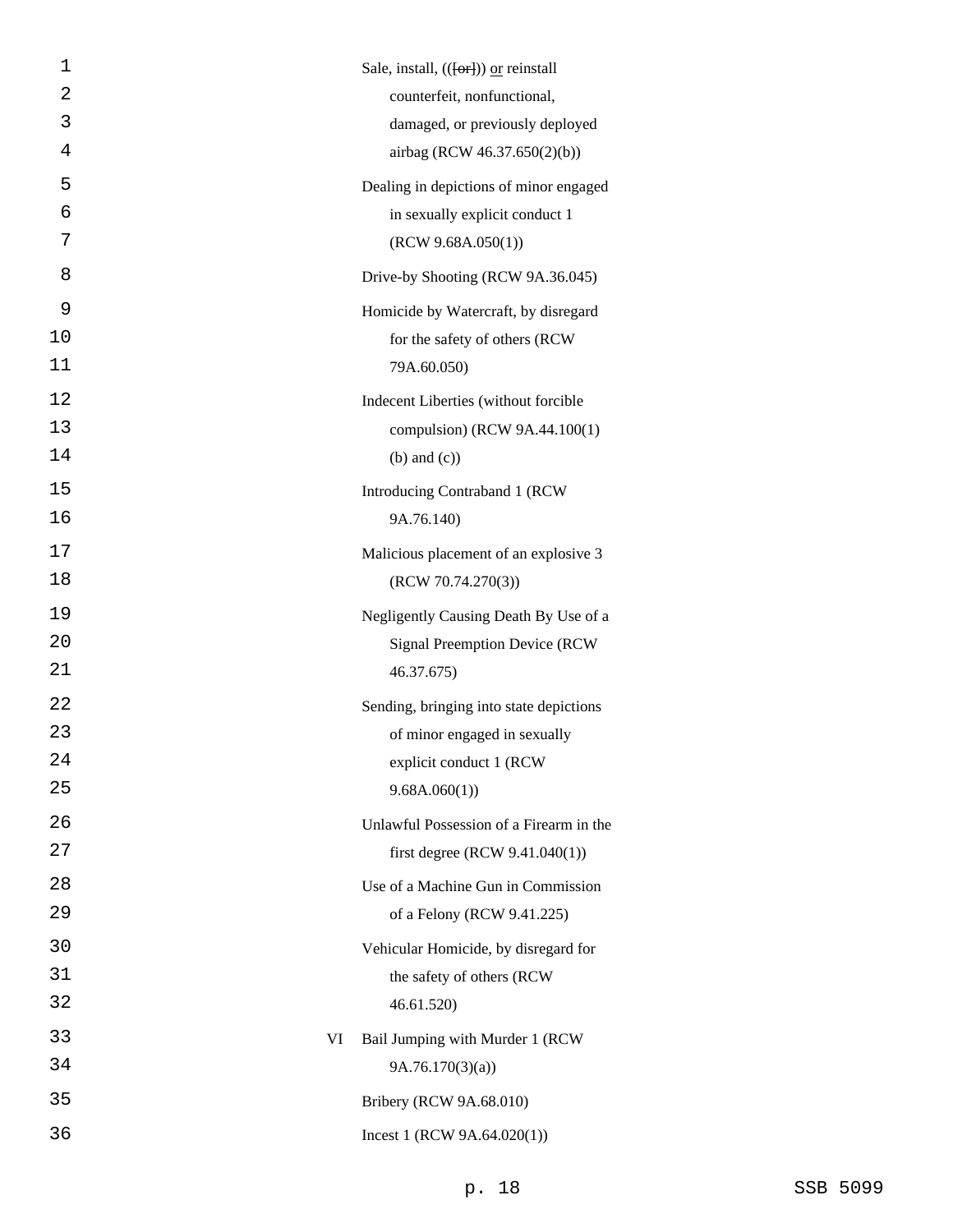| $\mathbf 1$ | Sale, install, $((\overline{\{or\}}))$ or reinstall |
|-------------|-----------------------------------------------------|
| 2           | counterfeit, nonfunctional,                         |
| 3           | damaged, or previously deployed                     |
| 4           | airbag (RCW 46.37.650(2)(b))                        |
| 5           | Dealing in depictions of minor engaged              |
| 6           | in sexually explicit conduct 1                      |
| 7           | (RCW 9.68A.050(1))                                  |
| 8           | Drive-by Shooting (RCW 9A.36.045)                   |
| 9           | Homicide by Watercraft, by disregard                |
| 10          | for the safety of others (RCW                       |
| 11          | 79A.60.050)                                         |
| 12          | Indecent Liberties (without forcible                |
| 13          | compulsion) (RCW 9A.44.100(1)                       |
| 14          | $(b)$ and $(c)$ )                                   |
| 15          | Introducing Contraband 1 (RCW                       |
| 16          | 9A.76.140)                                          |
| 17          | Malicious placement of an explosive 3               |
| 18          | (RCW 70.74.270(3))                                  |
| 19          | Negligently Causing Death By Use of a               |
| 20          | <b>Signal Preemption Device (RCW</b>                |
| 21          | 46.37.675)                                          |
| 22          | Sending, bringing into state depictions             |
| 23          | of minor engaged in sexually                        |
| 24          | explicit conduct 1 (RCW                             |
| 25          | 9.68A.060(1)                                        |
| 26          | Unlawful Possession of a Firearm in the             |
| 27          | first degree (RCW 9.41.040(1))                      |
| 28          | Use of a Machine Gun in Commission                  |
| 29          | of a Felony (RCW 9.41.225)                          |
| 30          | Vehicular Homicide, by disregard for                |
| 31          | the safety of others (RCW                           |
| 32          | 46.61.520)                                          |
| 33<br>VI    | Bail Jumping with Murder 1 (RCW                     |
| 34          | 9A.76.170(3)(a)                                     |
| 35          | Bribery (RCW 9A.68.010)                             |
|             |                                                     |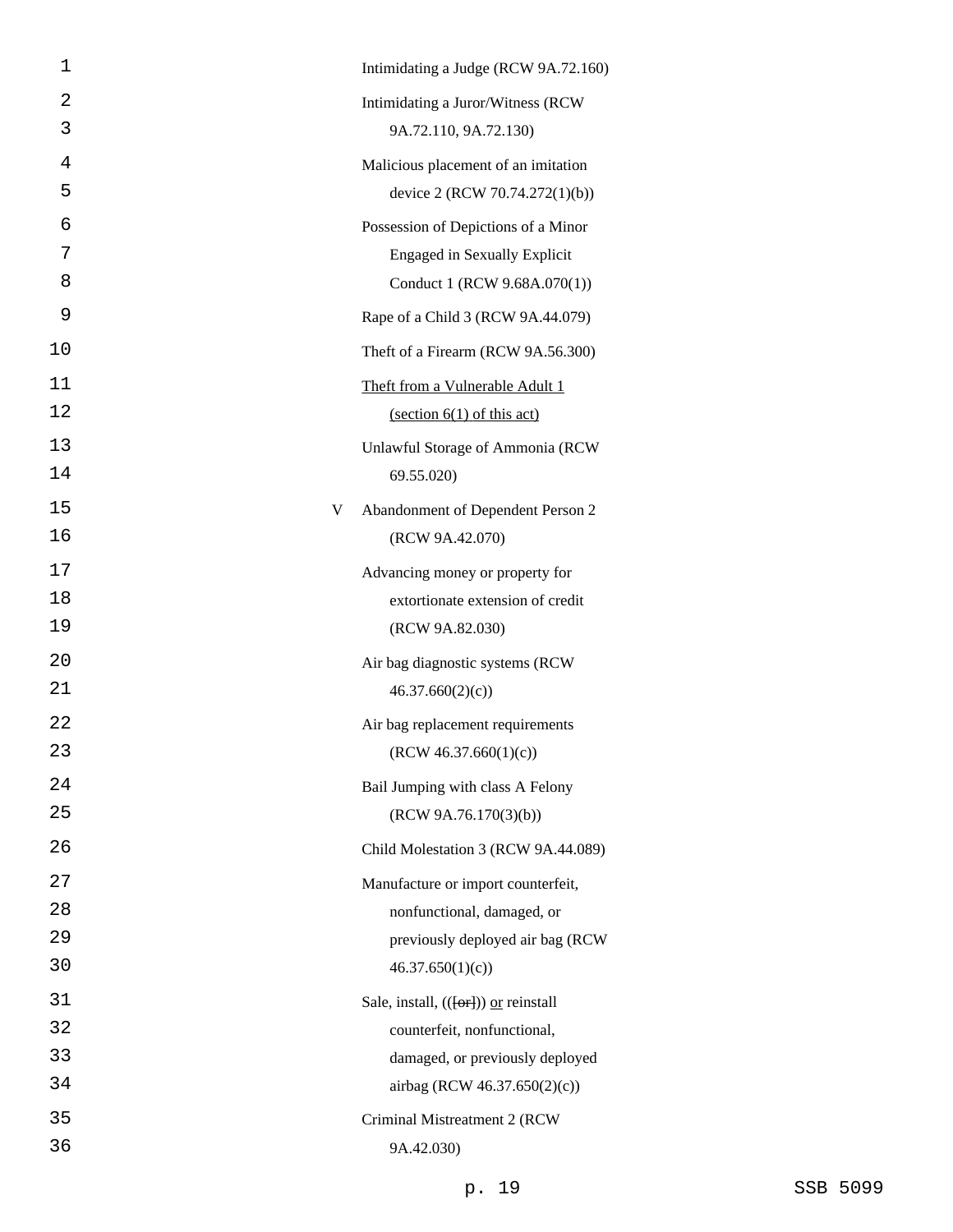| 1  |   | Intimidating a Judge (RCW 9A.72.160)                |
|----|---|-----------------------------------------------------|
| 2  |   | Intimidating a Juror/Witness (RCW                   |
| 3  |   | 9A.72.110, 9A.72.130)                               |
| 4  |   | Malicious placement of an imitation                 |
| 5  |   | device 2 (RCW 70.74.272(1)(b))                      |
| 6  |   | Possession of Depictions of a Minor                 |
| 7  |   | <b>Engaged in Sexually Explicit</b>                 |
| 8  |   | Conduct 1 (RCW 9.68A.070(1))                        |
| 9  |   | Rape of a Child 3 (RCW 9A.44.079)                   |
| 10 |   | Theft of a Firearm (RCW 9A.56.300)                  |
| 11 |   | Theft from a Vulnerable Adult 1                     |
| 12 |   | (section $6(1)$ of this act)                        |
| 13 |   | Unlawful Storage of Ammonia (RCW                    |
| 14 |   | 69.55.020)                                          |
| 15 | V | Abandonment of Dependent Person 2                   |
| 16 |   | (RCW 9A.42.070)                                     |
| 17 |   | Advancing money or property for                     |
| 18 |   | extortionate extension of credit                    |
| 19 |   | (RCW 9A.82.030)                                     |
| 20 |   | Air bag diagnostic systems (RCW                     |
| 21 |   | 46.37.660(2)(c)                                     |
| 22 |   | Air bag replacement requirements                    |
| 23 |   | (RCW 46.37.660(1)(c))                               |
| 24 |   | Bail Jumping with class A Felony                    |
| 25 |   | (RCW 9A.76.170(3)(b))                               |
| 26 |   | Child Molestation 3 (RCW 9A.44.089)                 |
| 27 |   | Manufacture or import counterfeit,                  |
| 28 |   | nonfunctional, damaged, or                          |
| 29 |   | previously deployed air bag (RCW                    |
| 30 |   | 46.37.650(1)(c)                                     |
| 31 |   | Sale, install, $((\overline{\{or\}}))$ or reinstall |
| 32 |   | counterfeit, nonfunctional,                         |
| 33 |   | damaged, or previously deployed                     |
| 34 |   | airbag (RCW 46.37.650(2)(c))                        |
| 35 |   | Criminal Mistreatment 2 (RCW                        |
| 36 |   | 9A.42.030)                                          |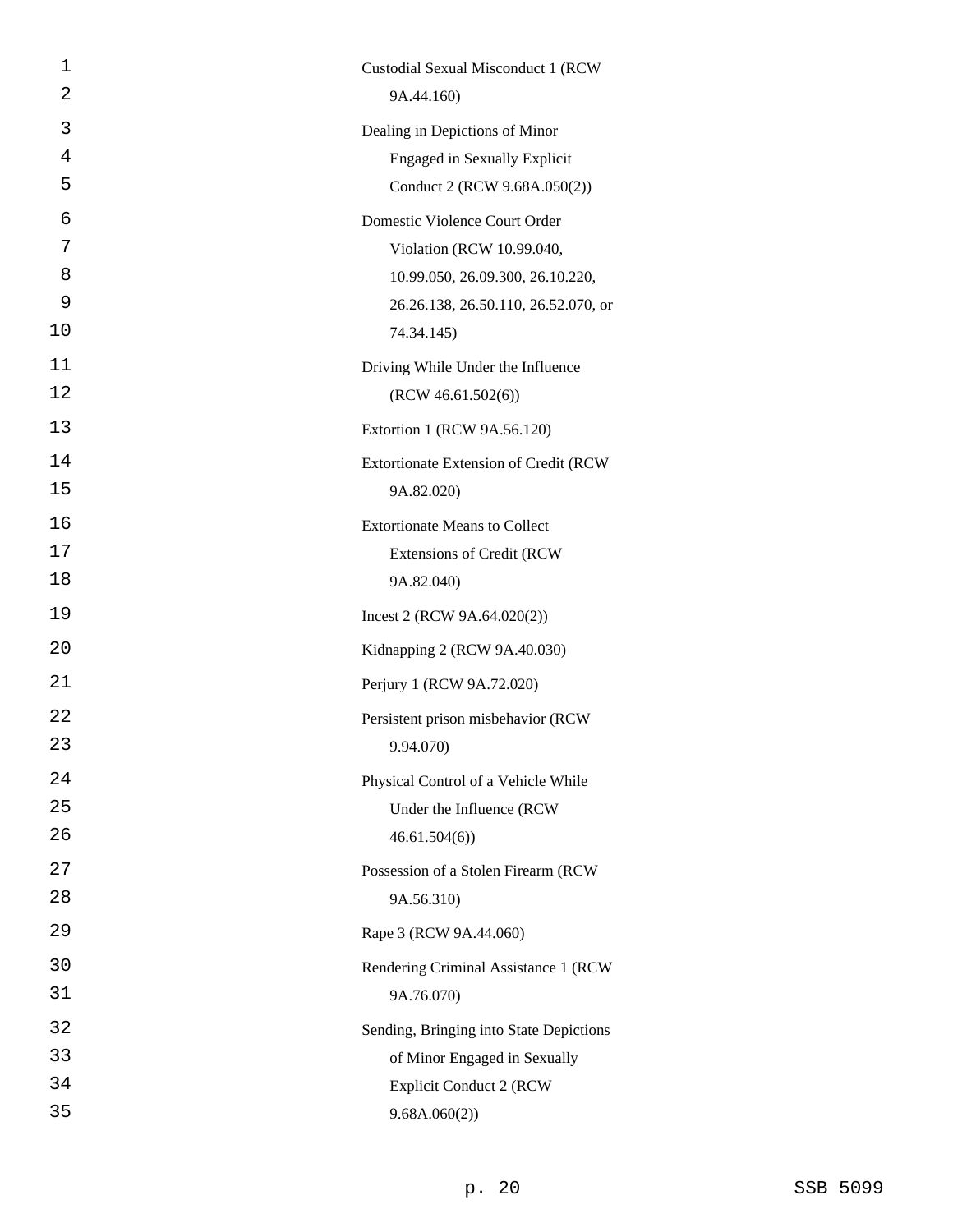| 1  | Custodial Sexual Misconduct 1 (RCW      |
|----|-----------------------------------------|
| 2  | 9A.44.160)                              |
| 3  | Dealing in Depictions of Minor          |
| 4  | <b>Engaged in Sexually Explicit</b>     |
| 5  | Conduct 2 (RCW 9.68A.050(2))            |
| 6  | Domestic Violence Court Order           |
| 7  | Violation (RCW 10.99.040,               |
| 8  | 10.99.050, 26.09.300, 26.10.220,        |
| 9  | 26.26.138, 26.50.110, 26.52.070, or     |
| 10 | 74.34.145)                              |
| 11 | Driving While Under the Influence       |
| 12 | (RCW 46.61.502(6))                      |
| 13 | Extortion 1 (RCW 9A.56.120)             |
| 14 | Extortionate Extension of Credit (RCW   |
| 15 | 9A.82.020)                              |
| 16 | <b>Extortionate Means to Collect</b>    |
| 17 | Extensions of Credit (RCW               |
| 18 | 9A.82.040)                              |
| 19 | Incest 2 (RCW $9A.64.020(2)$ )          |
| 20 | Kidnapping 2 (RCW 9A.40.030)            |
| 21 | Perjury 1 (RCW 9A.72.020)               |
| 22 | Persistent prison misbehavior (RCW      |
| 23 | 9.94.070)                               |
| 24 | Physical Control of a Vehicle While     |
| 25 | Under the Influence (RCW                |
| 26 | 46.61.504(6)                            |
| 27 | Possession of a Stolen Firearm (RCW     |
| 28 | 9A.56.310)                              |
| 29 | Rape 3 (RCW 9A.44.060)                  |
| 30 | Rendering Criminal Assistance 1 (RCW    |
| 31 | 9A.76.070)                              |
| 32 | Sending, Bringing into State Depictions |
| 33 | of Minor Engaged in Sexually            |
| 34 | <b>Explicit Conduct 2 (RCW</b>          |
| 35 | 9.68A.060(2))                           |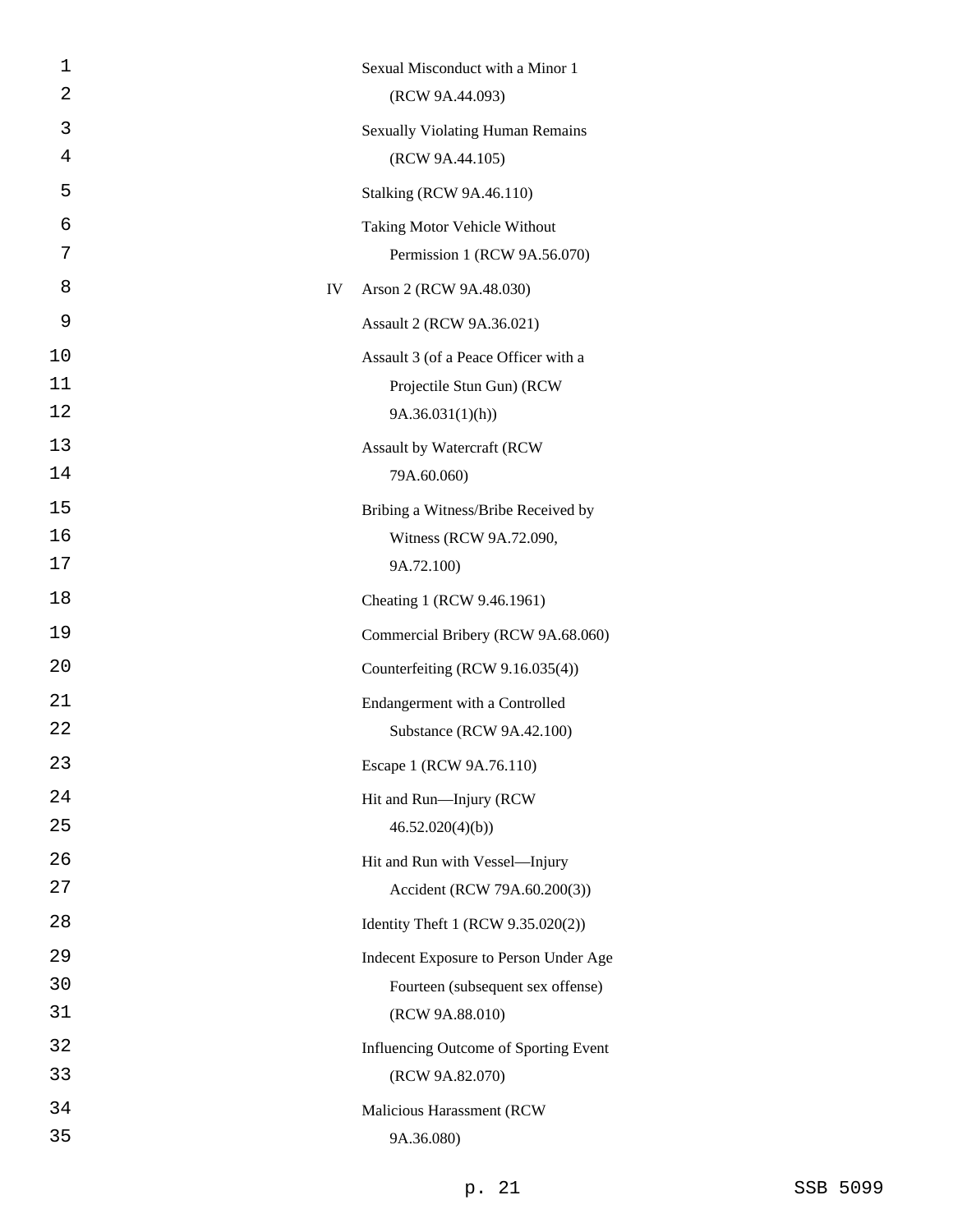| 1<br>2 |    | Sexual Misconduct with a Minor 1<br>(RCW 9A.44.093)        |
|--------|----|------------------------------------------------------------|
| 3<br>4 |    | <b>Sexually Violating Human Remains</b><br>(RCW 9A.44.105) |
| 5      |    | <b>Stalking (RCW 9A.46.110)</b>                            |
| 6      |    | Taking Motor Vehicle Without                               |
| 7      |    | Permission 1 (RCW 9A.56.070)                               |
| 8      | IV | Arson 2 (RCW 9A.48.030)                                    |
| 9      |    | Assault 2 (RCW 9A.36.021)                                  |
| 10     |    | Assault 3 (of a Peace Officer with a                       |
| 11     |    | Projectile Stun Gun) (RCW                                  |
| 12     |    | 9A.36.031(1)(h)                                            |
| 13     |    | Assault by Watercraft (RCW                                 |
| 14     |    | 79A.60.060)                                                |
| 15     |    | Bribing a Witness/Bribe Received by                        |
| 16     |    | Witness (RCW 9A.72.090,                                    |
| 17     |    | 9A.72.100)                                                 |
| 18     |    | Cheating 1 (RCW 9.46.1961)                                 |
| 19     |    | Commercial Bribery (RCW 9A.68.060)                         |
| 20     |    | Counterfeiting (RCW 9.16.035(4))                           |
| 21     |    | Endangerment with a Controlled                             |
| 22     |    | Substance (RCW 9A.42.100)                                  |
| 23     |    | Escape 1 (RCW 9A.76.110)                                   |
| 24     |    | Hit and Run-Injury (RCW                                    |
| 25     |    | 46.52.020(4)(b)                                            |
| 26     |    | Hit and Run with Vessel-Injury                             |
| 27     |    | Accident (RCW 79A.60.200(3))                               |
| 28     |    | Identity Theft 1 (RCW 9.35.020(2))                         |
| 29     |    | Indecent Exposure to Person Under Age                      |
| 30     |    | Fourteen (subsequent sex offense)                          |
| 31     |    | (RCW 9A.88.010)                                            |
| 32     |    | Influencing Outcome of Sporting Event                      |
| 33     |    | (RCW 9A.82.070)                                            |
| 34     |    | Malicious Harassment (RCW                                  |
| 35     |    | 9A.36.080)                                                 |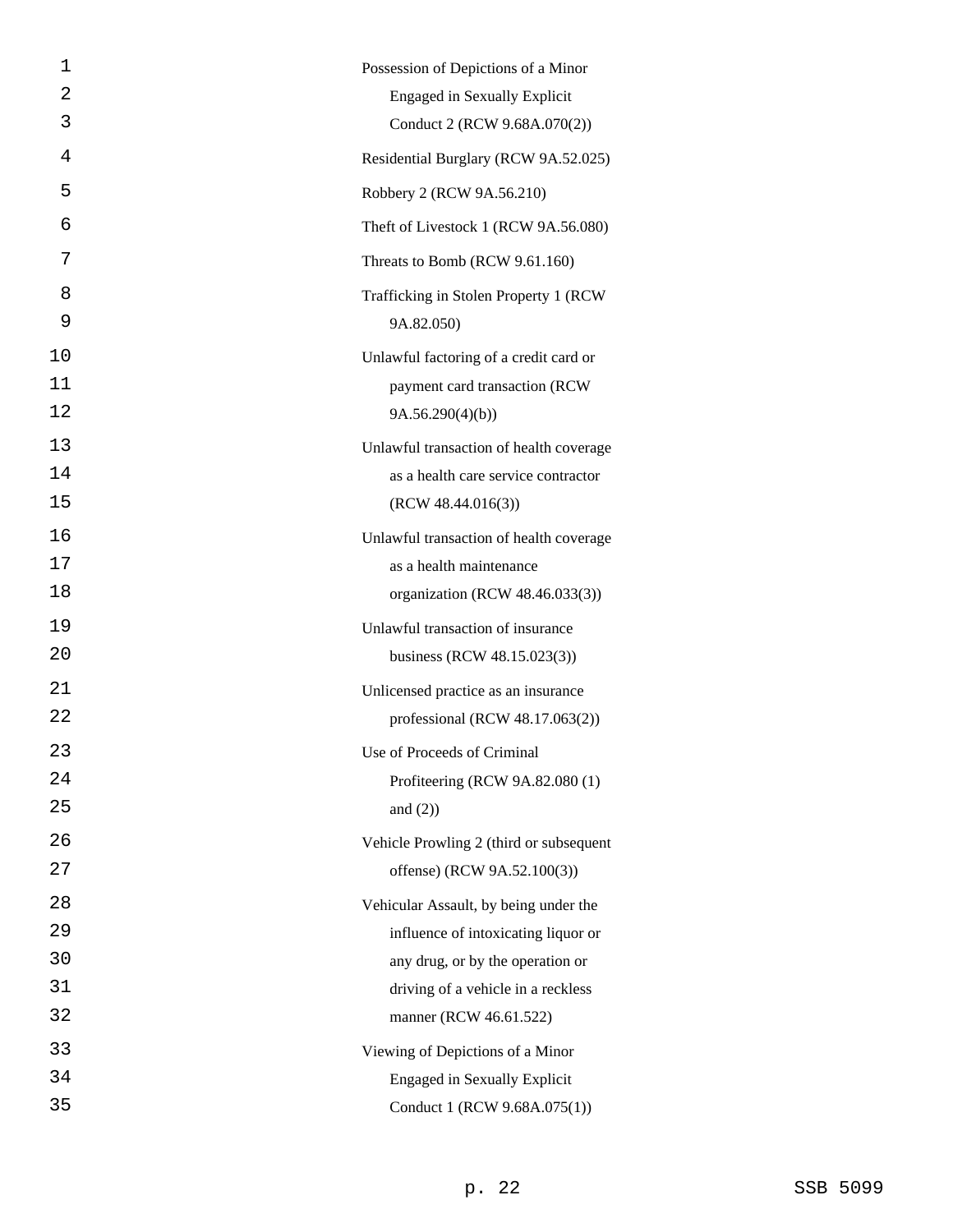| 1  | Possession of Depictions of a Minor     |
|----|-----------------------------------------|
| 2  | <b>Engaged in Sexually Explicit</b>     |
| 3  | Conduct 2 (RCW 9.68A.070(2))            |
| 4  | Residential Burglary (RCW 9A.52.025)    |
| 5  | Robbery 2 (RCW 9A.56.210)               |
| 6  | Theft of Livestock 1 (RCW 9A.56.080)    |
| 7  | Threats to Bomb (RCW 9.61.160)          |
| 8  | Trafficking in Stolen Property 1 (RCW   |
| 9  | 9A.82.050)                              |
| 10 | Unlawful factoring of a credit card or  |
| 11 | payment card transaction (RCW           |
| 12 | 9A.56.290(4)(b)                         |
| 13 | Unlawful transaction of health coverage |
| 14 | as a health care service contractor     |
| 15 | (RCW 48.44.016(3))                      |
| 16 | Unlawful transaction of health coverage |
| 17 | as a health maintenance                 |
| 18 | organization (RCW 48.46.033(3))         |
| 19 | Unlawful transaction of insurance       |
| 20 | business (RCW 48.15.023(3))             |
| 21 | Unlicensed practice as an insurance     |
| 22 | professional (RCW 48.17.063(2))         |
| 23 | Use of Proceeds of Criminal             |
| 24 | Profiteering (RCW 9A.82.080 (1)         |
| 25 | and $(2)$ )                             |
| 26 | Vehicle Prowling 2 (third or subsequent |
| 27 | offense) (RCW 9A.52.100(3))             |
| 28 | Vehicular Assault, by being under the   |
| 29 | influence of intoxicating liquor or     |
| 30 | any drug, or by the operation or        |
| 31 | driving of a vehicle in a reckless      |
| 32 | manner (RCW 46.61.522)                  |
| 33 | Viewing of Depictions of a Minor        |
| 34 | <b>Engaged in Sexually Explicit</b>     |
| 35 | Conduct 1 (RCW 9.68A.075(1))            |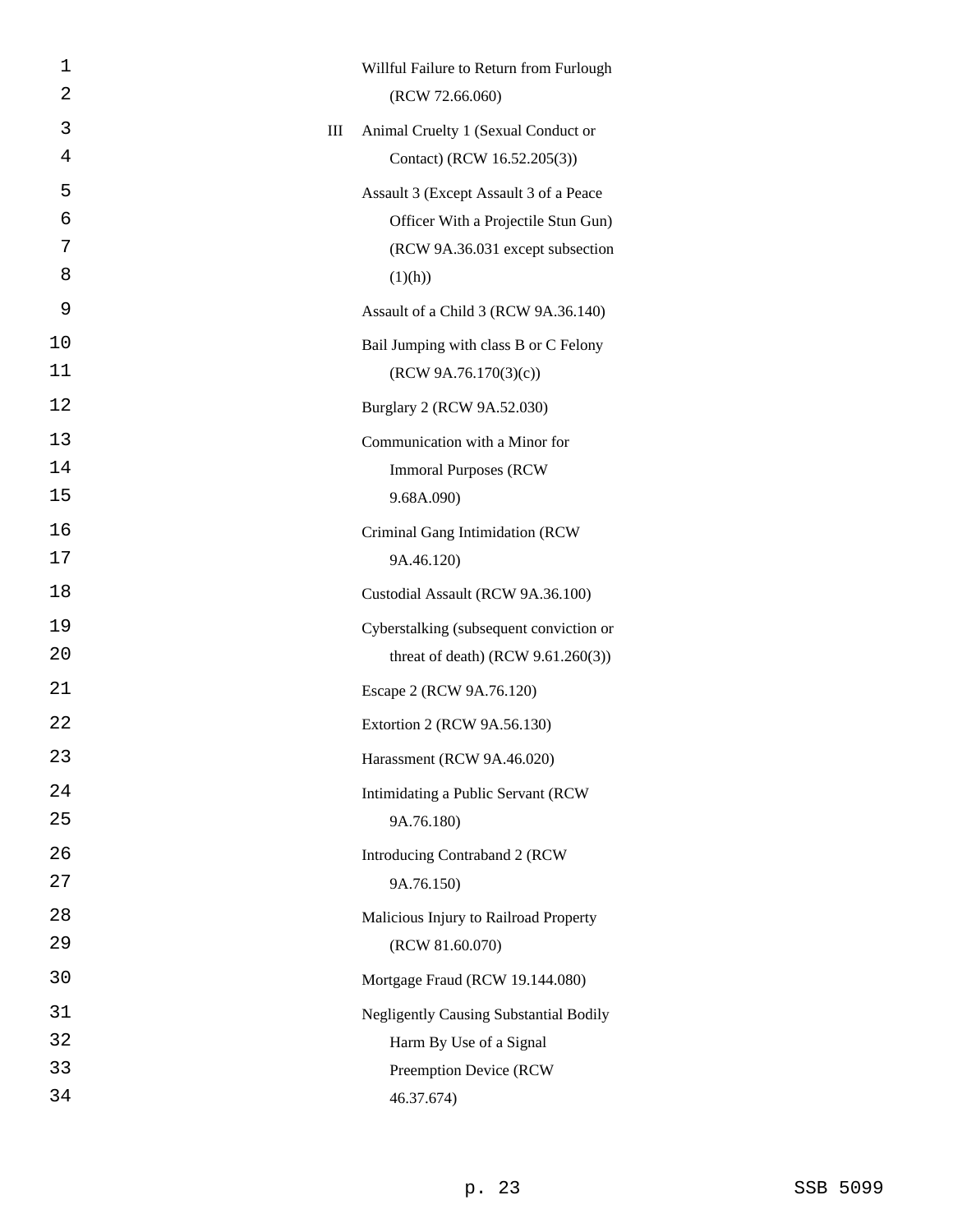| 1      |   | Willful Failure to Return from Furlough                                       |
|--------|---|-------------------------------------------------------------------------------|
| 2      |   | (RCW 72.66.060)                                                               |
| 3<br>4 | Ш | Animal Cruelty 1 (Sexual Conduct or<br>Contact) (RCW 16.52.205(3))            |
| 5      |   |                                                                               |
| 6      |   | Assault 3 (Except Assault 3 of a Peace<br>Officer With a Projectile Stun Gun) |
| 7      |   | (RCW 9A.36.031 except subsection                                              |
| 8      |   | (1)(h))                                                                       |
| 9      |   | Assault of a Child 3 (RCW 9A.36.140)                                          |
| 10     |   | Bail Jumping with class B or C Felony                                         |
| 11     |   | (RCW 9A.76.170(3)(c))                                                         |
| 12     |   | Burglary 2 (RCW 9A.52.030)                                                    |
| 13     |   | Communication with a Minor for                                                |
| 14     |   | <b>Immoral Purposes (RCW)</b>                                                 |
| 15     |   | 9.68A.090)                                                                    |
| 16     |   | Criminal Gang Intimidation (RCW                                               |
| 17     |   | 9A.46.120)                                                                    |
| 18     |   | Custodial Assault (RCW 9A.36.100)                                             |
| 19     |   | Cyberstalking (subsequent conviction or                                       |
| 20     |   | threat of death) (RCW $9.61.260(3)$ )                                         |
| 21     |   | Escape 2 (RCW 9A.76.120)                                                      |
| 22     |   | Extortion 2 (RCW 9A.56.130)                                                   |
| 23     |   | Harassment (RCW 9A.46.020)                                                    |
| 24     |   | Intimidating a Public Servant (RCW                                            |
| 25     |   | 9A.76.180)                                                                    |
| 26     |   | Introducing Contraband 2 (RCW                                                 |
| 27     |   | 9A.76.150)                                                                    |
| 28     |   | Malicious Injury to Railroad Property                                         |
| 29     |   | (RCW 81.60.070)                                                               |
| 30     |   | Mortgage Fraud (RCW 19.144.080)                                               |
| 31     |   | <b>Negligently Causing Substantial Bodily</b>                                 |
| 32     |   | Harm By Use of a Signal                                                       |
| 33     |   | Preemption Device (RCW                                                        |
| 34     |   | 46.37.674)                                                                    |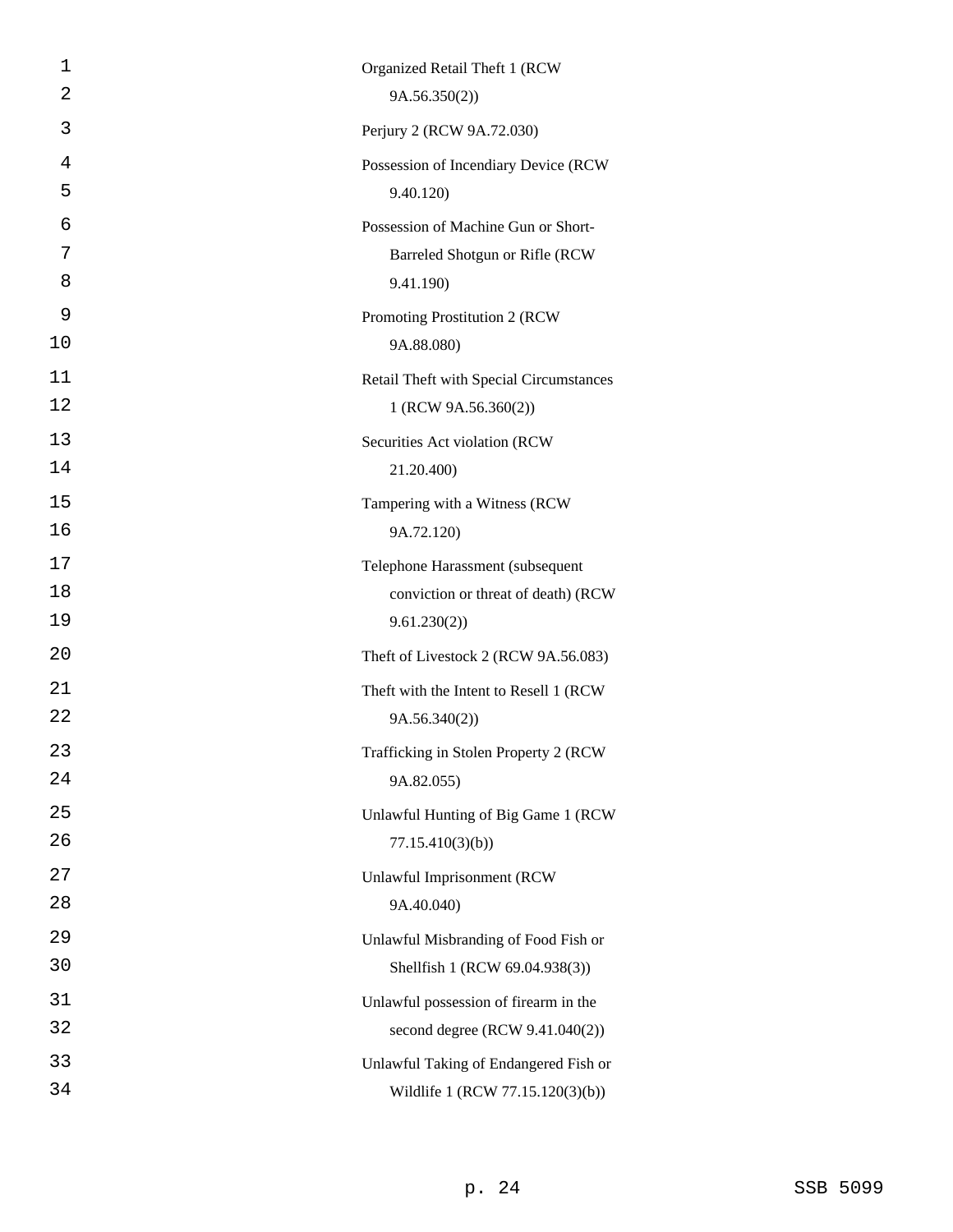| 1  | Organized Retail Theft 1 (RCW           |
|----|-----------------------------------------|
| 2  | 9A.56.350(2)                            |
| 3  | Perjury 2 (RCW 9A.72.030)               |
| 4  | Possession of Incendiary Device (RCW    |
| 5  | 9.40.120)                               |
| 6  | Possession of Machine Gun or Short-     |
| 7  | Barreled Shotgun or Rifle (RCW          |
| 8  | 9.41.190)                               |
| 9  | Promoting Prostitution 2 (RCW           |
| 10 | 9A.88.080)                              |
| 11 | Retail Theft with Special Circumstances |
| 12 | 1 (RCW 9A.56.360(2))                    |
| 13 | Securities Act violation (RCW           |
| 14 | 21.20.400)                              |
| 15 | Tampering with a Witness (RCW           |
| 16 | 9A.72.120)                              |
| 17 | Telephone Harassment (subsequent        |
| 18 | conviction or threat of death) (RCW     |
| 19 | 9.61.230(2)                             |
| 20 | Theft of Livestock 2 (RCW 9A.56.083)    |
| 21 | Theft with the Intent to Resell 1 (RCW  |
| 22 | 9A.56.340(2)                            |
| 23 | Trafficking in Stolen Property 2 (RCW   |
| 24 | 9A.82.055)                              |
| 25 | Unlawful Hunting of Big Game 1 (RCW     |
| 26 | 77.15.410(3)(b)                         |
| 27 | Unlawful Imprisonment (RCW              |
| 28 | 9A.40.040)                              |
| 29 | Unlawful Misbranding of Food Fish or    |
| 30 | Shellfish 1 (RCW 69.04.938(3))          |
| 31 | Unlawful possession of firearm in the   |
| 32 | second degree (RCW 9.41.040(2))         |
| 33 | Unlawful Taking of Endangered Fish or   |
| 34 | Wildlife 1 (RCW 77.15.120(3)(b))        |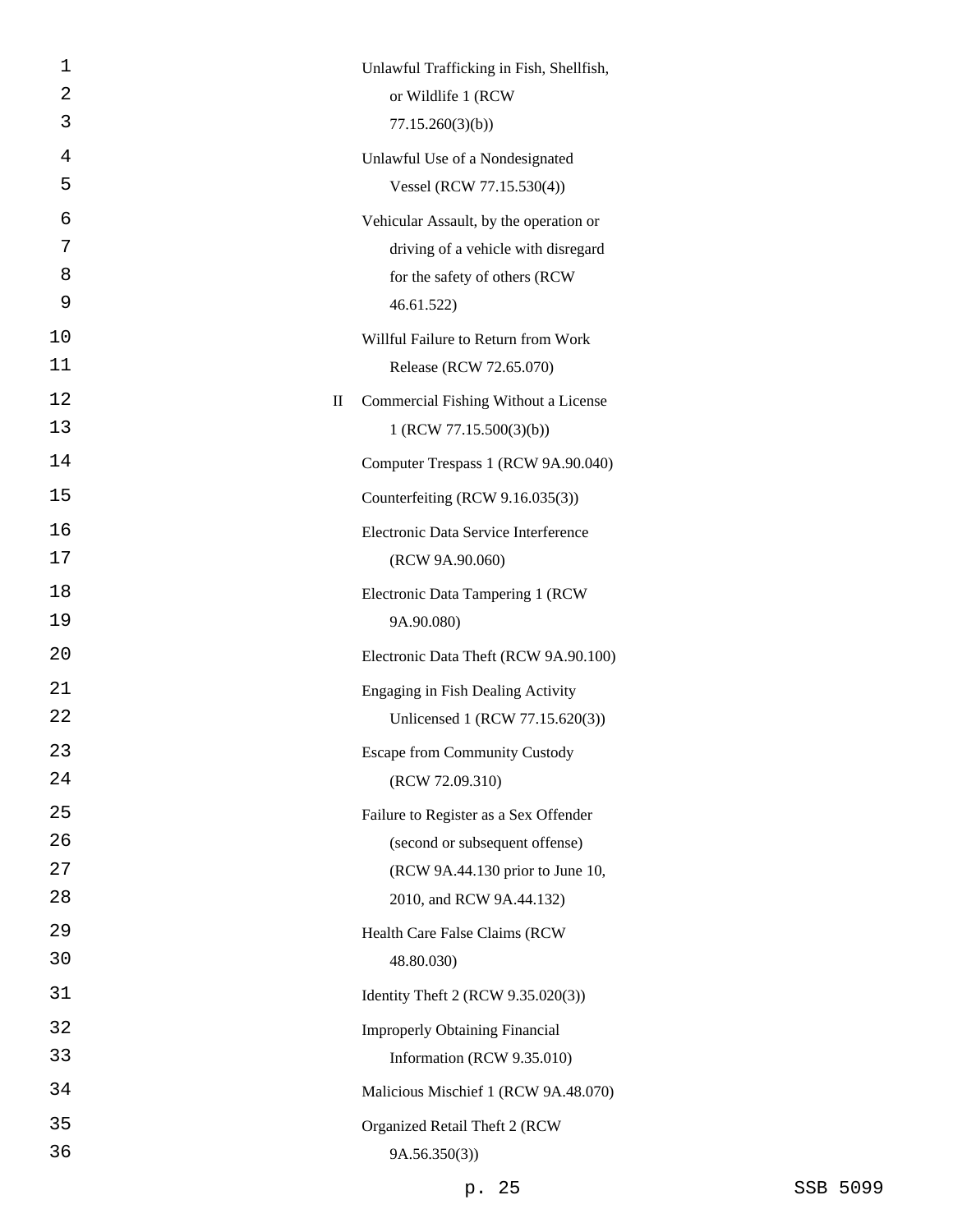| $\mathbf 1$    | Unlawful Trafficking in Fish, Shellfish,                       |
|----------------|----------------------------------------------------------------|
| 2              | or Wildlife 1 (RCW                                             |
| 3              | 77.15.260(3)(b)                                                |
| 4              | Unlawful Use of a Nondesignated                                |
| 5              | Vessel (RCW 77.15.530(4))                                      |
| 6              | Vehicular Assault, by the operation or                         |
| 7<br>8         | driving of a vehicle with disregard                            |
| 9              | for the safety of others (RCW<br>46.61.522)                    |
| 10             |                                                                |
| 11             | Willful Failure to Return from Work<br>Release (RCW 72.65.070) |
| 12             | Commercial Fishing Without a License                           |
| $\rm II$<br>13 | 1 (RCW 77.15.500(3)(b))                                        |
| 14             | Computer Trespass 1 (RCW 9A.90.040)                            |
| 15             | Counterfeiting (RCW 9.16.035(3))                               |
| 16             | Electronic Data Service Interference                           |
| 17             | (RCW 9A.90.060)                                                |
| 18             | Electronic Data Tampering 1 (RCW                               |
| 19             | 9A.90.080)                                                     |
| 20             | Electronic Data Theft (RCW 9A.90.100)                          |
| 21             | Engaging in Fish Dealing Activity                              |
| 22             | Unlicensed 1 (RCW 77.15.620(3))                                |
| 23             | <b>Escape from Community Custody</b>                           |
| 24             | (RCW 72.09.310)                                                |
| 25             | Failure to Register as a Sex Offender                          |
| 26             | (second or subsequent offense)                                 |
| 27             | (RCW 9A.44.130 prior to June 10,                               |
| 28             | 2010, and RCW 9A.44.132)                                       |
| 29             | Health Care False Claims (RCW                                  |
| 30             | 48.80.030)                                                     |
| 31             | Identity Theft 2 (RCW 9.35.020(3))                             |
| 32             | <b>Improperly Obtaining Financial</b>                          |
| 33             | Information (RCW 9.35.010)                                     |
| 34             | Malicious Mischief 1 (RCW 9A.48.070)                           |
| 35             | Organized Retail Theft 2 (RCW                                  |
| 36             | 9A.56.350(3)                                                   |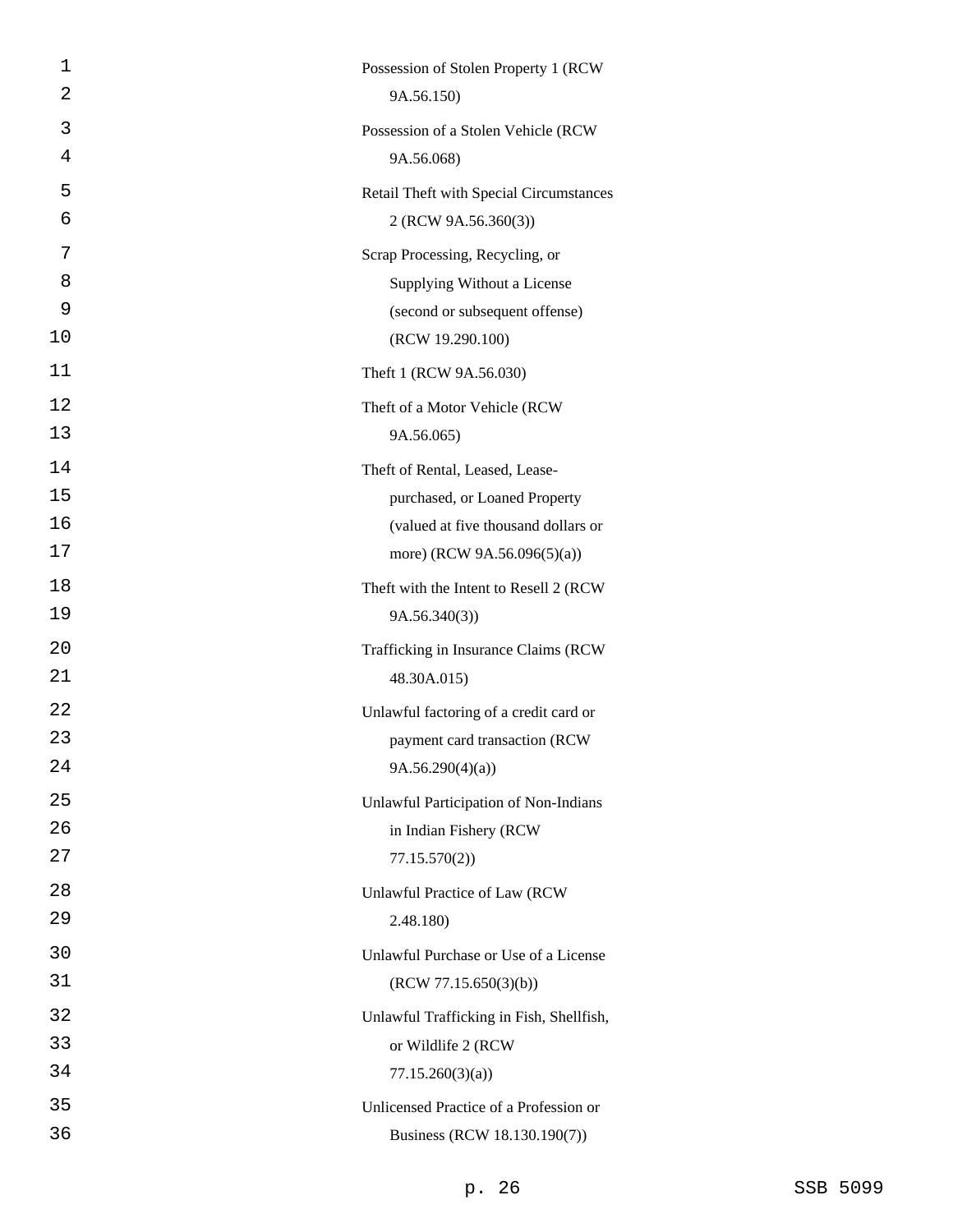| 1  | Possession of Stolen Property 1 (RCW     |
|----|------------------------------------------|
| 2  | 9A.56.150)                               |
| 3  | Possession of a Stolen Vehicle (RCW      |
| 4  | 9A.56.068)                               |
| 5  | Retail Theft with Special Circumstances  |
| 6  | 2 (RCW 9A.56.360(3))                     |
| 7  | Scrap Processing, Recycling, or          |
| 8  | Supplying Without a License              |
| 9  | (second or subsequent offense)           |
| 10 | (RCW 19.290.100)                         |
| 11 | Theft 1 (RCW 9A.56.030)                  |
| 12 | Theft of a Motor Vehicle (RCW            |
| 13 | 9A.56.065)                               |
| 14 | Theft of Rental, Leased, Lease-          |
| 15 | purchased, or Loaned Property            |
| 16 | (valued at five thousand dollars or      |
| 17 | more) (RCW 9A.56.096(5)(a))              |
| 18 | Theft with the Intent to Resell 2 (RCW   |
| 19 | 9A.56.340(3)                             |
| 20 | Trafficking in Insurance Claims (RCW     |
| 21 | 48.30A.015)                              |
| 22 | Unlawful factoring of a credit card or   |
| 23 | payment card transaction (RCW            |
| 24 | 9A.56.290(4)(a)                          |
| 25 | Unlawful Participation of Non-Indians    |
| 26 | in Indian Fishery (RCW                   |
| 27 | 77.15.570(2)                             |
| 28 | Unlawful Practice of Law (RCW            |
| 29 | 2.48.180)                                |
| 30 | Unlawful Purchase or Use of a License    |
| 31 | (RCW 77.15.650(3)(b))                    |
| 32 | Unlawful Trafficking in Fish, Shellfish, |
| 33 | or Wildlife 2 (RCW                       |
| 34 | 77.15.260(3)(a)                          |
| 35 | Unlicensed Practice of a Profession or   |
| 36 | Business (RCW 18.130.190(7))             |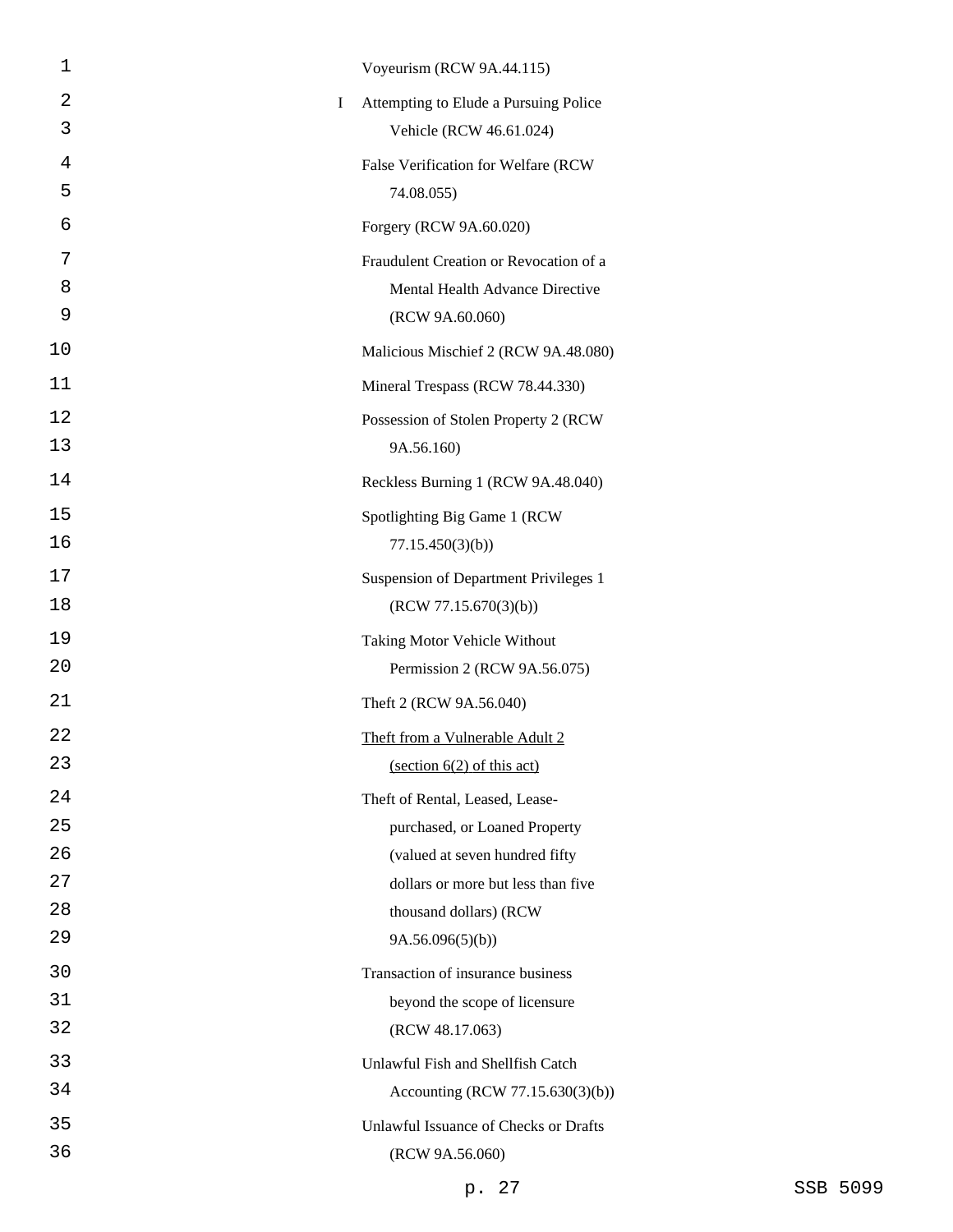| 1              |   | Voyeurism (RCW 9A.44.115)                                                                       |
|----------------|---|-------------------------------------------------------------------------------------------------|
| $\overline{2}$ | L | Attempting to Elude a Pursuing Police                                                           |
| 3              |   | Vehicle (RCW 46.61.024)                                                                         |
| 4              |   | False Verification for Welfare (RCW                                                             |
| 5              |   | 74.08.055)                                                                                      |
| 6              |   | Forgery (RCW 9A.60.020)                                                                         |
| 7              |   | Fraudulent Creation or Revocation of a                                                          |
| 8              |   | Mental Health Advance Directive                                                                 |
| 9              |   | (RCW 9A.60.060)                                                                                 |
| 10             |   | Malicious Mischief 2 (RCW 9A.48.080)                                                            |
| 11             |   | Mineral Trespass (RCW 78.44.330)                                                                |
| 12             |   | Possession of Stolen Property 2 (RCW                                                            |
| 13             |   | 9A.56.160)                                                                                      |
| 14             |   | Reckless Burning 1 (RCW 9A.48.040)                                                              |
| 15             |   | Spotlighting Big Game 1 (RCW                                                                    |
| 16             |   | 77.15.450(3)(b)                                                                                 |
| 17             |   | Suspension of Department Privileges 1                                                           |
| 18             |   | (RCW 77.15.670(3)(b))                                                                           |
| 19             |   | Taking Motor Vehicle Without                                                                    |
| 20             |   | Permission 2 (RCW 9A.56.075)                                                                    |
| 21             |   | Theft 2 (RCW 9A.56.040)                                                                         |
| 22             |   | Theft from a Vulnerable Adult 2                                                                 |
| 23             |   | $\frac{(\text{section } 6(2) \text{ of this act})}{(\text{section } 6(2) \text{ of this act})}$ |
| 24             |   | Theft of Rental, Leased, Lease-                                                                 |
| 25             |   | purchased, or Loaned Property                                                                   |
| 26             |   | (valued at seven hundred fifty                                                                  |
| 27             |   | dollars or more but less than five                                                              |
| 28             |   | thousand dollars) (RCW                                                                          |
| 29             |   | 9A.56.096(5)(b)                                                                                 |
| 30             |   | Transaction of insurance business                                                               |
| 31             |   | beyond the scope of licensure                                                                   |
| 32             |   | (RCW 48.17.063)                                                                                 |
| 33             |   | Unlawful Fish and Shellfish Catch                                                               |
| 34             |   | Accounting (RCW 77.15.630(3)(b))                                                                |
| 35             |   | Unlawful Issuance of Checks or Drafts                                                           |
| 36             |   | (RCW 9A.56.060)                                                                                 |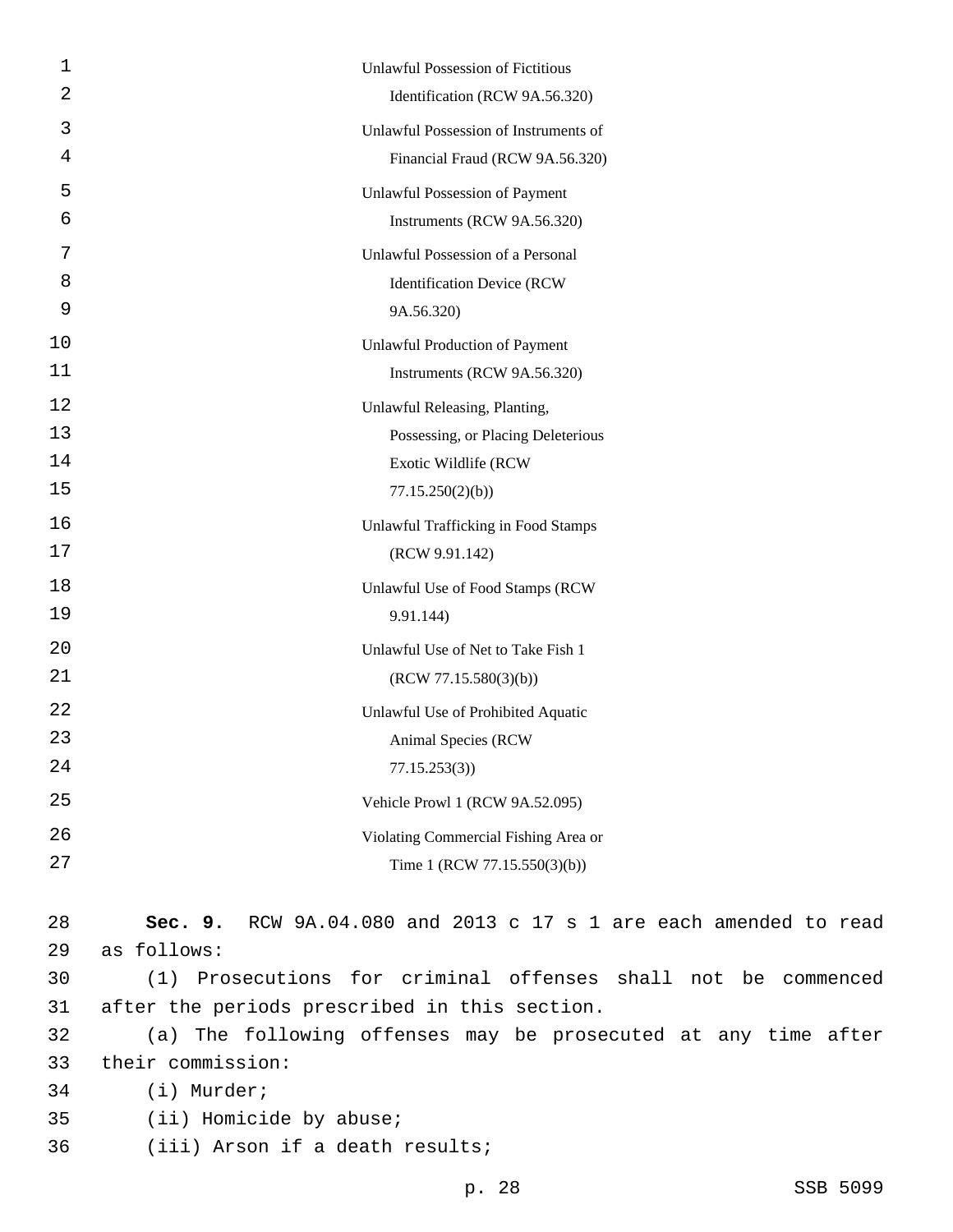| 1  | <b>Unlawful Possession of Fictitious</b>                                   |
|----|----------------------------------------------------------------------------|
| 2  | Identification (RCW 9A.56.320)                                             |
| 3  | Unlawful Possession of Instruments of                                      |
| 4  | Financial Fraud (RCW 9A.56.320)                                            |
| 5  | <b>Unlawful Possession of Payment</b>                                      |
| 6  | Instruments (RCW 9A.56.320)                                                |
| 7  | Unlawful Possession of a Personal                                          |
| 8  | <b>Identification Device (RCW</b>                                          |
| 9  | 9A.56.320)                                                                 |
| 10 | <b>Unlawful Production of Payment</b>                                      |
| 11 | Instruments (RCW 9A.56.320)                                                |
| 12 | Unlawful Releasing, Planting,                                              |
| 13 | Possessing, or Placing Deleterious                                         |
| 14 | Exotic Wildlife (RCW                                                       |
| 15 | 77.15.250(2)(b)                                                            |
| 16 | Unlawful Trafficking in Food Stamps                                        |
| 17 | (RCW 9.91.142)                                                             |
| 18 | Unlawful Use of Food Stamps (RCW                                           |
| 19 | 9.91.144)                                                                  |
| 20 | Unlawful Use of Net to Take Fish 1                                         |
| 21 | (RCW 77.15.580(3)(b))                                                      |
| 22 | Unlawful Use of Prohibited Aquatic                                         |
| 23 | Animal Species (RCW                                                        |
| 24 | 77.15.253(3)                                                               |
| 25 | Vehicle Prowl 1 (RCW 9A.52.095)                                            |
| 26 | Violating Commercial Fishing Area or                                       |
| 27 | Time 1 (RCW 77.15.550(3)(b))                                               |
|    | pow 81 04 080 and 2013 a 17 a 1 are each amended to res<br>$C \cap \Omega$ |
| ΩΩ | $\Omega$                                                                   |

| 28 | Sec. 9. RCW 9A.04.080 and 2013 c 17 s 1 are each amended to read |
|----|------------------------------------------------------------------|
| 29 | as follows:                                                      |
| 30 | (1) Prosecutions for criminal offenses shall not be commenced    |
| 31 | after the periods prescribed in this section.                    |
| 32 | (a) The following offenses may be prosecuted at any time after   |
| 33 | their commission:                                                |
| 34 | (i) Murder;                                                      |
| 35 | (ii) Homicide by abuse;                                          |
| 36 | (iii) Arson if a death results;                                  |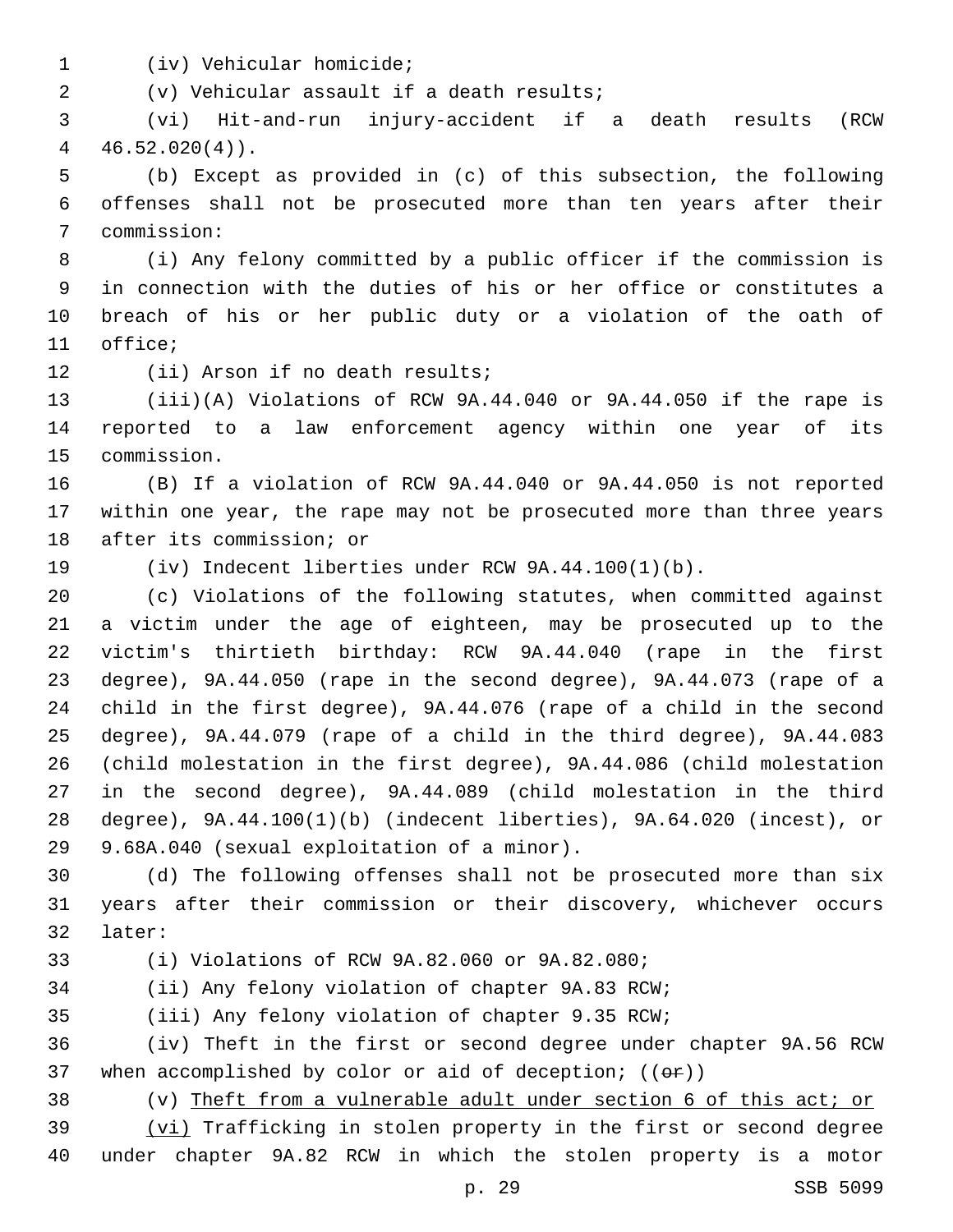(iv) Vehicular homicide;1

(v) Vehicular assault if a death results;2

 (vi) Hit-and-run injury-accident if a death results (RCW  $46.52.020(4)$ .

 (b) Except as provided in (c) of this subsection, the following offenses shall not be prosecuted more than ten years after their 7 commission:

 (i) Any felony committed by a public officer if the commission is in connection with the duties of his or her office or constitutes a breach of his or her public duty or a violation of the oath of 11 office;

12 (ii) Arson if no death results;

 (iii)(A) Violations of RCW 9A.44.040 or 9A.44.050 if the rape is reported to a law enforcement agency within one year of its 15 commission.

 (B) If a violation of RCW 9A.44.040 or 9A.44.050 is not reported within one year, the rape may not be prosecuted more than three years 18 after its commission; or

(iv) Indecent liberties under RCW 9A.44.100(1)(b).

 (c) Violations of the following statutes, when committed against a victim under the age of eighteen, may be prosecuted up to the victim's thirtieth birthday: RCW 9A.44.040 (rape in the first degree), 9A.44.050 (rape in the second degree), 9A.44.073 (rape of a child in the first degree), 9A.44.076 (rape of a child in the second degree), 9A.44.079 (rape of a child in the third degree), 9A.44.083 (child molestation in the first degree), 9A.44.086 (child molestation in the second degree), 9A.44.089 (child molestation in the third degree), 9A.44.100(1)(b) (indecent liberties), 9A.64.020 (incest), or 9.68A.040 (sexual exploitation of a minor).29

 (d) The following offenses shall not be prosecuted more than six years after their commission or their discovery, whichever occurs later:32

(i) Violations of RCW 9A.82.060 or 9A.82.080;33

(ii) Any felony violation of chapter 9A.83 RCW;

(iii) Any felony violation of chapter 9.35 RCW;

 (iv) Theft in the first or second degree under chapter 9A.56 RCW 37 when accomplished by color or aid of deception;  $((\theta \cdot \hat{r}))$ 

(v) Theft from a vulnerable adult under section 6 of this act; or

39 (vi) Trafficking in stolen property in the first or second degree under chapter 9A.82 RCW in which the stolen property is a motor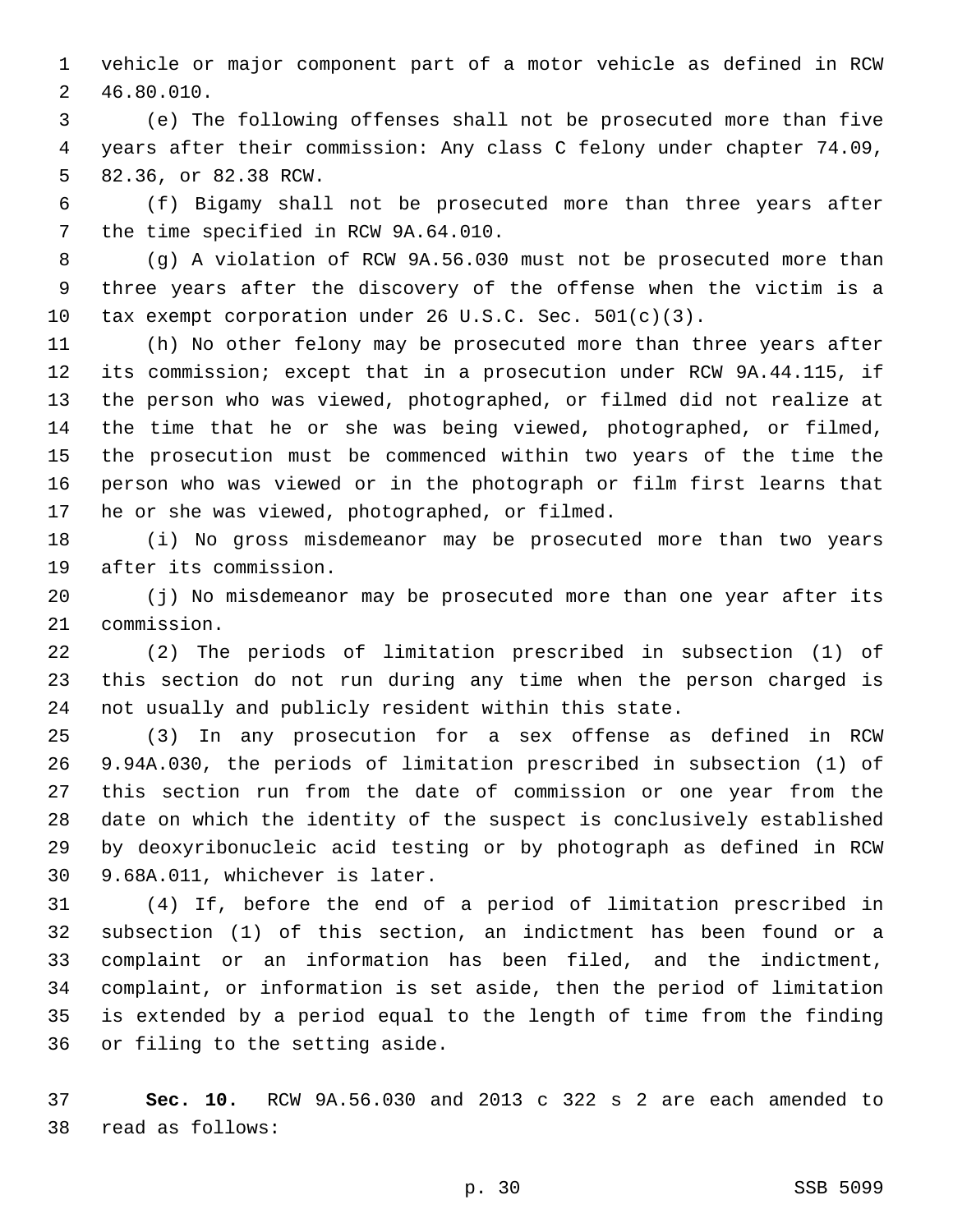vehicle or major component part of a motor vehicle as defined in RCW 46.80.010.2

 (e) The following offenses shall not be prosecuted more than five years after their commission: Any class C felony under chapter 74.09, 5 82.36, or 82.38 RCW.

 (f) Bigamy shall not be prosecuted more than three years after 7 the time specified in RCW 9A.64.010.

 (g) A violation of RCW 9A.56.030 must not be prosecuted more than three years after the discovery of the offense when the victim is a tax exempt corporation under 26 U.S.C. Sec. 501(c)(3).

 (h) No other felony may be prosecuted more than three years after its commission; except that in a prosecution under RCW 9A.44.115, if the person who was viewed, photographed, or filmed did not realize at the time that he or she was being viewed, photographed, or filmed, the prosecution must be commenced within two years of the time the person who was viewed or in the photograph or film first learns that 17 he or she was viewed, photographed, or filmed.

 (i) No gross misdemeanor may be prosecuted more than two years 19 after its commission.

 (j) No misdemeanor may be prosecuted more than one year after its 21 commission.

 (2) The periods of limitation prescribed in subsection (1) of this section do not run during any time when the person charged is not usually and publicly resident within this state.

 (3) In any prosecution for a sex offense as defined in RCW 9.94A.030, the periods of limitation prescribed in subsection (1) of this section run from the date of commission or one year from the date on which the identity of the suspect is conclusively established by deoxyribonucleic acid testing or by photograph as defined in RCW 30 9.68A.011, whichever is later.

 (4) If, before the end of a period of limitation prescribed in subsection (1) of this section, an indictment has been found or a complaint or an information has been filed, and the indictment, complaint, or information is set aside, then the period of limitation is extended by a period equal to the length of time from the finding 36 or filing to the setting aside.

 **Sec. 10.** RCW 9A.56.030 and 2013 c 322 s 2 are each amended to read as follows:38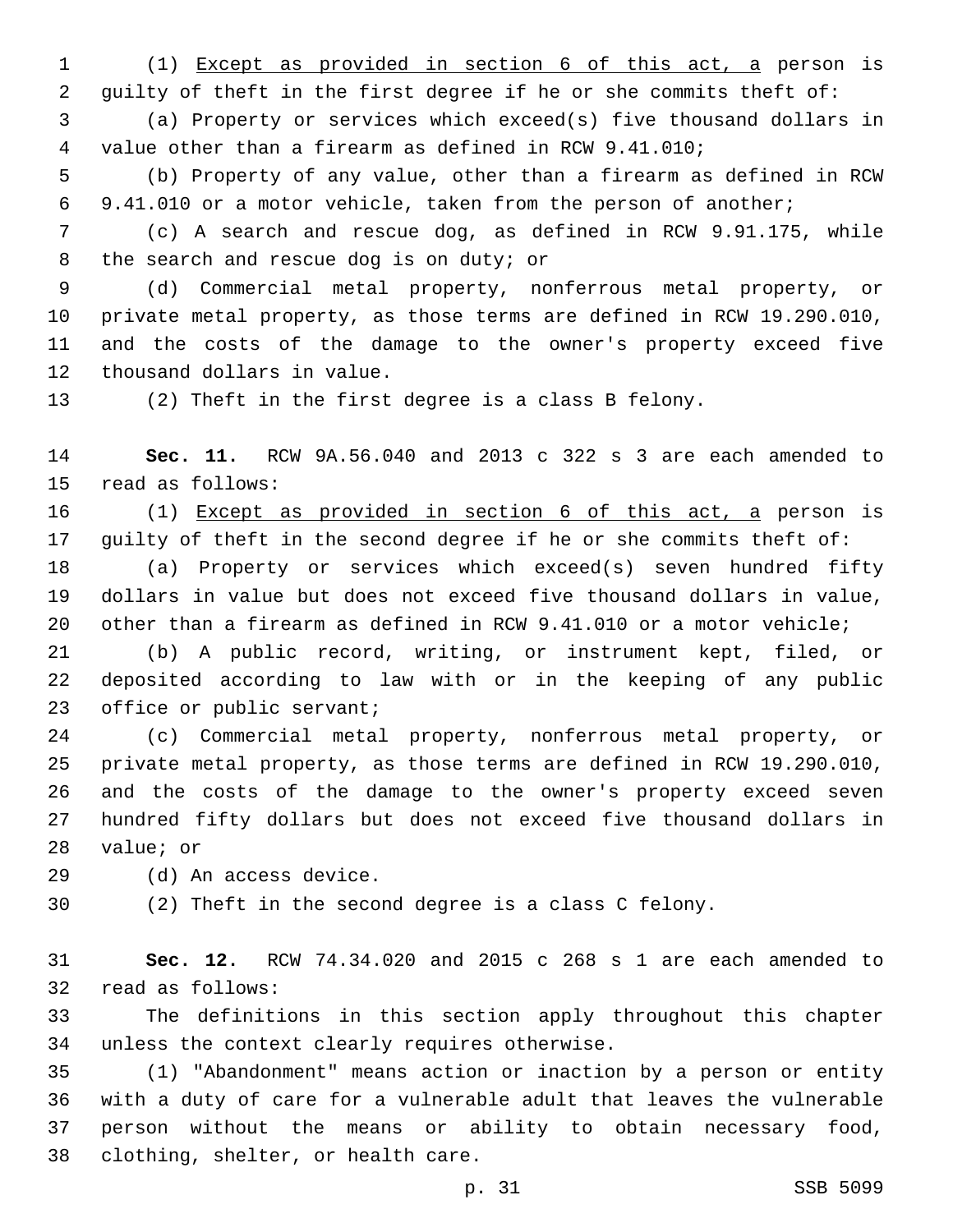(1) Except as provided in section 6 of this act, a person is guilty of theft in the first degree if he or she commits theft of:

 (a) Property or services which exceed(s) five thousand dollars in value other than a firearm as defined in RCW 9.41.010;

 (b) Property of any value, other than a firearm as defined in RCW 9.41.010 or a motor vehicle, taken from the person of another;

 (c) A search and rescue dog, as defined in RCW 9.91.175, while 8 the search and rescue dog is on duty; or

 (d) Commercial metal property, nonferrous metal property, or private metal property, as those terms are defined in RCW 19.290.010, and the costs of the damage to the owner's property exceed five 12 thousand dollars in value.

(2) Theft in the first degree is a class B felony.

 **Sec. 11.** RCW 9A.56.040 and 2013 c 322 s 3 are each amended to 15 read as follows:

 (1) Except as provided in section 6 of this act, a person is guilty of theft in the second degree if he or she commits theft of:

 (a) Property or services which exceed(s) seven hundred fifty dollars in value but does not exceed five thousand dollars in value, other than a firearm as defined in RCW 9.41.010 or a motor vehicle;

 (b) A public record, writing, or instrument kept, filed, or deposited according to law with or in the keeping of any public 23 office or public servant;

 (c) Commercial metal property, nonferrous metal property, or private metal property, as those terms are defined in RCW 19.290.010, and the costs of the damage to the owner's property exceed seven hundred fifty dollars but does not exceed five thousand dollars in 28 value; or

29 (d) An access device.

(2) Theft in the second degree is a class C felony.

 **Sec. 12.** RCW 74.34.020 and 2015 c 268 s 1 are each amended to 32 read as follows:

 The definitions in this section apply throughout this chapter 34 unless the context clearly requires otherwise.

 (1) "Abandonment" means action or inaction by a person or entity with a duty of care for a vulnerable adult that leaves the vulnerable person without the means or ability to obtain necessary food, 38 clothing, shelter, or health care.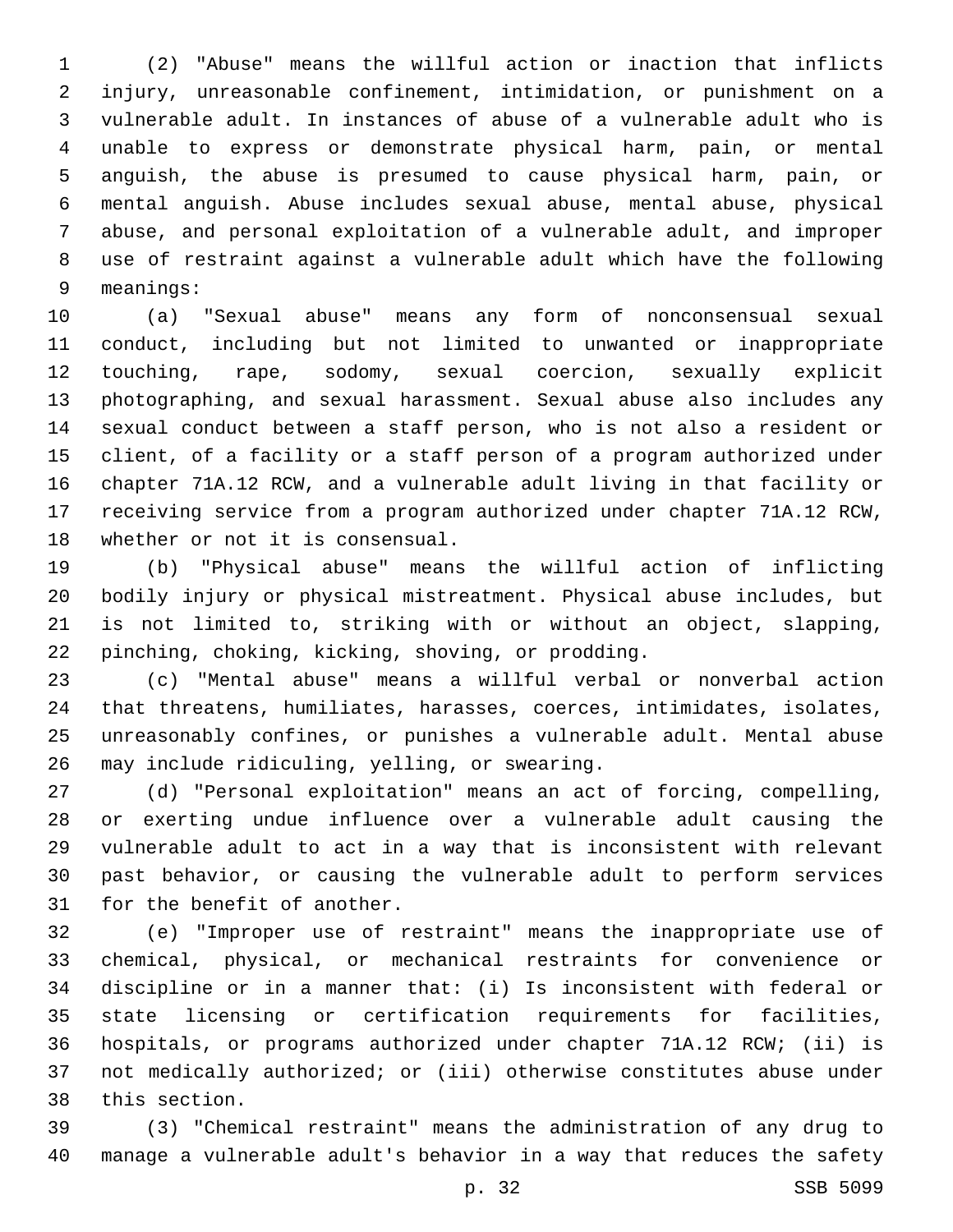(2) "Abuse" means the willful action or inaction that inflicts injury, unreasonable confinement, intimidation, or punishment on a vulnerable adult. In instances of abuse of a vulnerable adult who is unable to express or demonstrate physical harm, pain, or mental anguish, the abuse is presumed to cause physical harm, pain, or mental anguish. Abuse includes sexual abuse, mental abuse, physical abuse, and personal exploitation of a vulnerable adult, and improper use of restraint against a vulnerable adult which have the following 9 meanings:

 (a) "Sexual abuse" means any form of nonconsensual sexual conduct, including but not limited to unwanted or inappropriate touching, rape, sodomy, sexual coercion, sexually explicit photographing, and sexual harassment. Sexual abuse also includes any sexual conduct between a staff person, who is not also a resident or client, of a facility or a staff person of a program authorized under chapter 71A.12 RCW, and a vulnerable adult living in that facility or receiving service from a program authorized under chapter 71A.12 RCW, 18 whether or not it is consensual.

 (b) "Physical abuse" means the willful action of inflicting bodily injury or physical mistreatment. Physical abuse includes, but is not limited to, striking with or without an object, slapping, pinching, choking, kicking, shoving, or prodding.22

 (c) "Mental abuse" means a willful verbal or nonverbal action that threatens, humiliates, harasses, coerces, intimidates, isolates, unreasonably confines, or punishes a vulnerable adult. Mental abuse 26 may include ridiculing, yelling, or swearing.

 (d) "Personal exploitation" means an act of forcing, compelling, or exerting undue influence over a vulnerable adult causing the vulnerable adult to act in a way that is inconsistent with relevant past behavior, or causing the vulnerable adult to perform services 31 for the benefit of another.

 (e) "Improper use of restraint" means the inappropriate use of chemical, physical, or mechanical restraints for convenience or discipline or in a manner that: (i) Is inconsistent with federal or state licensing or certification requirements for facilities, hospitals, or programs authorized under chapter 71A.12 RCW; (ii) is not medically authorized; or (iii) otherwise constitutes abuse under 38 this section.

 (3) "Chemical restraint" means the administration of any drug to manage a vulnerable adult's behavior in a way that reduces the safety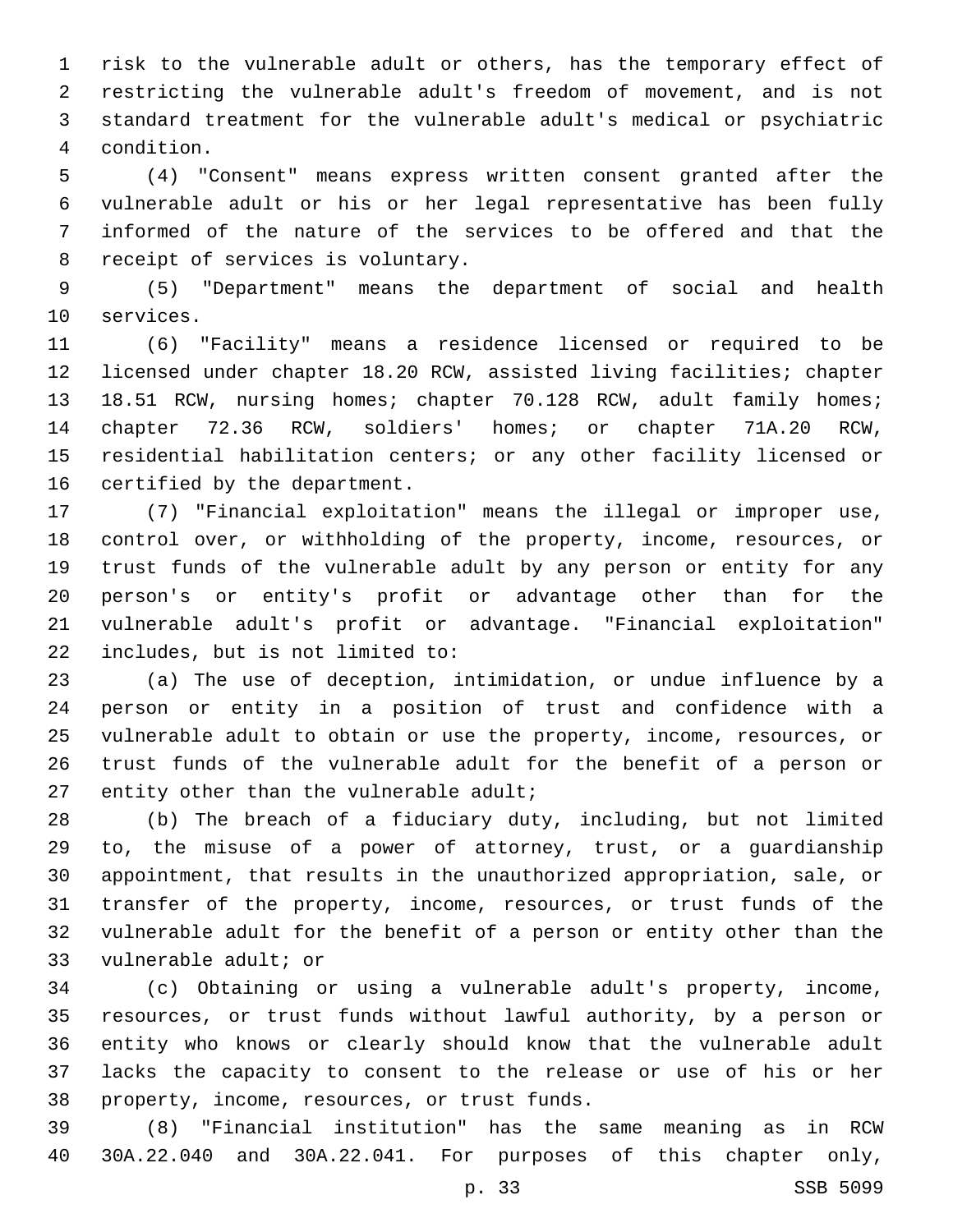risk to the vulnerable adult or others, has the temporary effect of restricting the vulnerable adult's freedom of movement, and is not standard treatment for the vulnerable adult's medical or psychiatric condition.4

 (4) "Consent" means express written consent granted after the vulnerable adult or his or her legal representative has been fully informed of the nature of the services to be offered and that the 8 receipt of services is voluntary.

 (5) "Department" means the department of social and health 10 services.

 (6) "Facility" means a residence licensed or required to be licensed under chapter 18.20 RCW, assisted living facilities; chapter 18.51 RCW, nursing homes; chapter 70.128 RCW, adult family homes; chapter 72.36 RCW, soldiers' homes; or chapter 71A.20 RCW, residential habilitation centers; or any other facility licensed or 16 certified by the department.

 (7) "Financial exploitation" means the illegal or improper use, control over, or withholding of the property, income, resources, or trust funds of the vulnerable adult by any person or entity for any person's or entity's profit or advantage other than for the vulnerable adult's profit or advantage. "Financial exploitation" 22 includes, but is not limited to:

 (a) The use of deception, intimidation, or undue influence by a person or entity in a position of trust and confidence with a vulnerable adult to obtain or use the property, income, resources, or trust funds of the vulnerable adult for the benefit of a person or 27 entity other than the vulnerable adult;

 (b) The breach of a fiduciary duty, including, but not limited to, the misuse of a power of attorney, trust, or a guardianship appointment, that results in the unauthorized appropriation, sale, or transfer of the property, income, resources, or trust funds of the vulnerable adult for the benefit of a person or entity other than the 33 vulnerable adult; or

 (c) Obtaining or using a vulnerable adult's property, income, resources, or trust funds without lawful authority, by a person or entity who knows or clearly should know that the vulnerable adult lacks the capacity to consent to the release or use of his or her 38 property, income, resources, or trust funds.

 (8) "Financial institution" has the same meaning as in RCW 30A.22.040 and 30A.22.041. For purposes of this chapter only,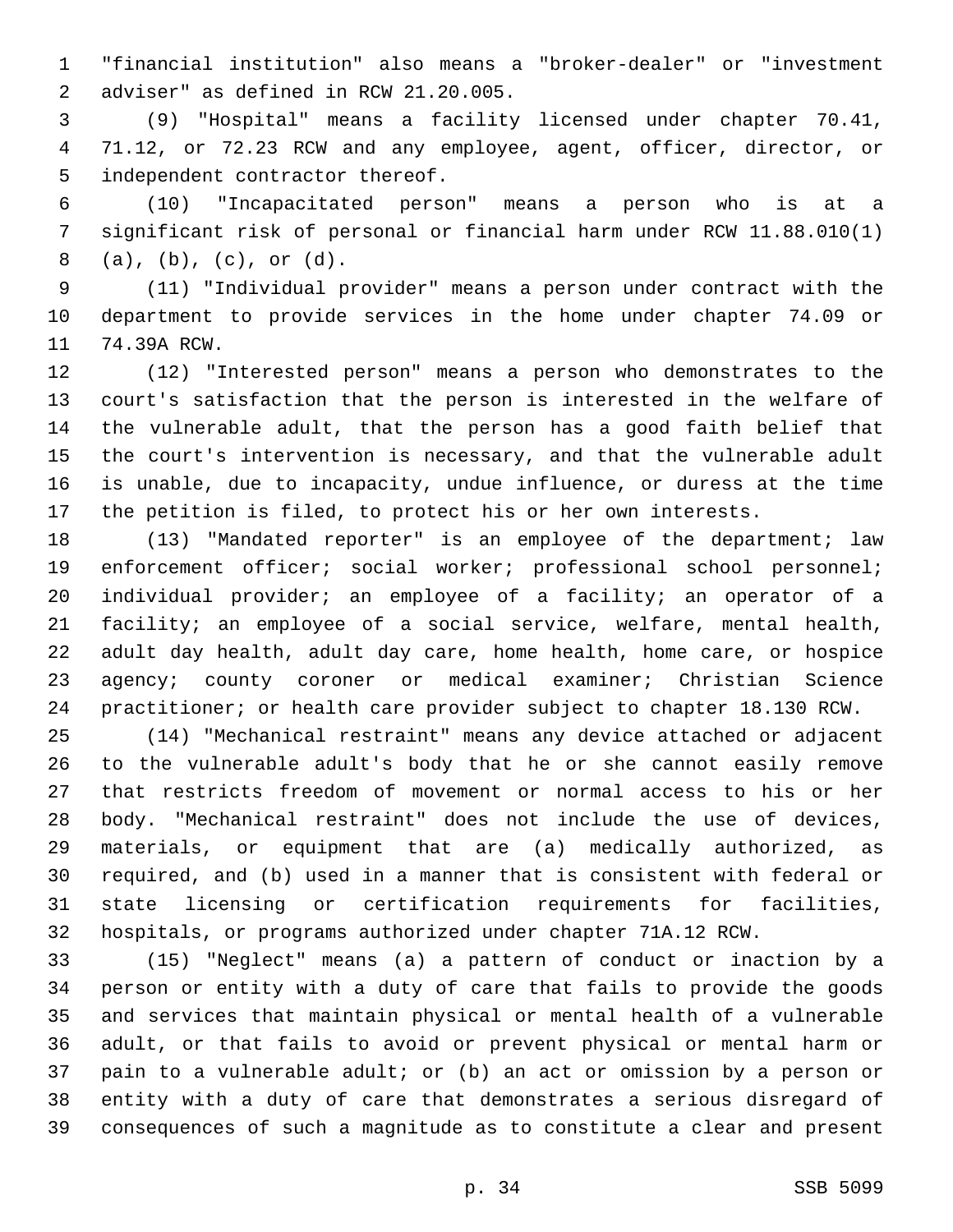"financial institution" also means a "broker-dealer" or "investment 2 adviser" as defined in RCW 21.20.005.

 (9) "Hospital" means a facility licensed under chapter 70.41, 71.12, or 72.23 RCW and any employee, agent, officer, director, or 5 independent contractor thereof.

 (10) "Incapacitated person" means a person who is at a significant risk of personal or financial harm under RCW 11.88.010(1) 8 (a), (b), (c), or (d).

 (11) "Individual provider" means a person under contract with the department to provide services in the home under chapter 74.09 or 11 74.39A RCW.

 (12) "Interested person" means a person who demonstrates to the court's satisfaction that the person is interested in the welfare of the vulnerable adult, that the person has a good faith belief that the court's intervention is necessary, and that the vulnerable adult is unable, due to incapacity, undue influence, or duress at the time the petition is filed, to protect his or her own interests.

 (13) "Mandated reporter" is an employee of the department; law enforcement officer; social worker; professional school personnel; individual provider; an employee of a facility; an operator of a facility; an employee of a social service, welfare, mental health, adult day health, adult day care, home health, home care, or hospice agency; county coroner or medical examiner; Christian Science practitioner; or health care provider subject to chapter 18.130 RCW.

 (14) "Mechanical restraint" means any device attached or adjacent to the vulnerable adult's body that he or she cannot easily remove that restricts freedom of movement or normal access to his or her body. "Mechanical restraint" does not include the use of devices, materials, or equipment that are (a) medically authorized, as required, and (b) used in a manner that is consistent with federal or state licensing or certification requirements for facilities, hospitals, or programs authorized under chapter 71A.12 RCW.

 (15) "Neglect" means (a) a pattern of conduct or inaction by a person or entity with a duty of care that fails to provide the goods and services that maintain physical or mental health of a vulnerable adult, or that fails to avoid or prevent physical or mental harm or pain to a vulnerable adult; or (b) an act or omission by a person or entity with a duty of care that demonstrates a serious disregard of consequences of such a magnitude as to constitute a clear and present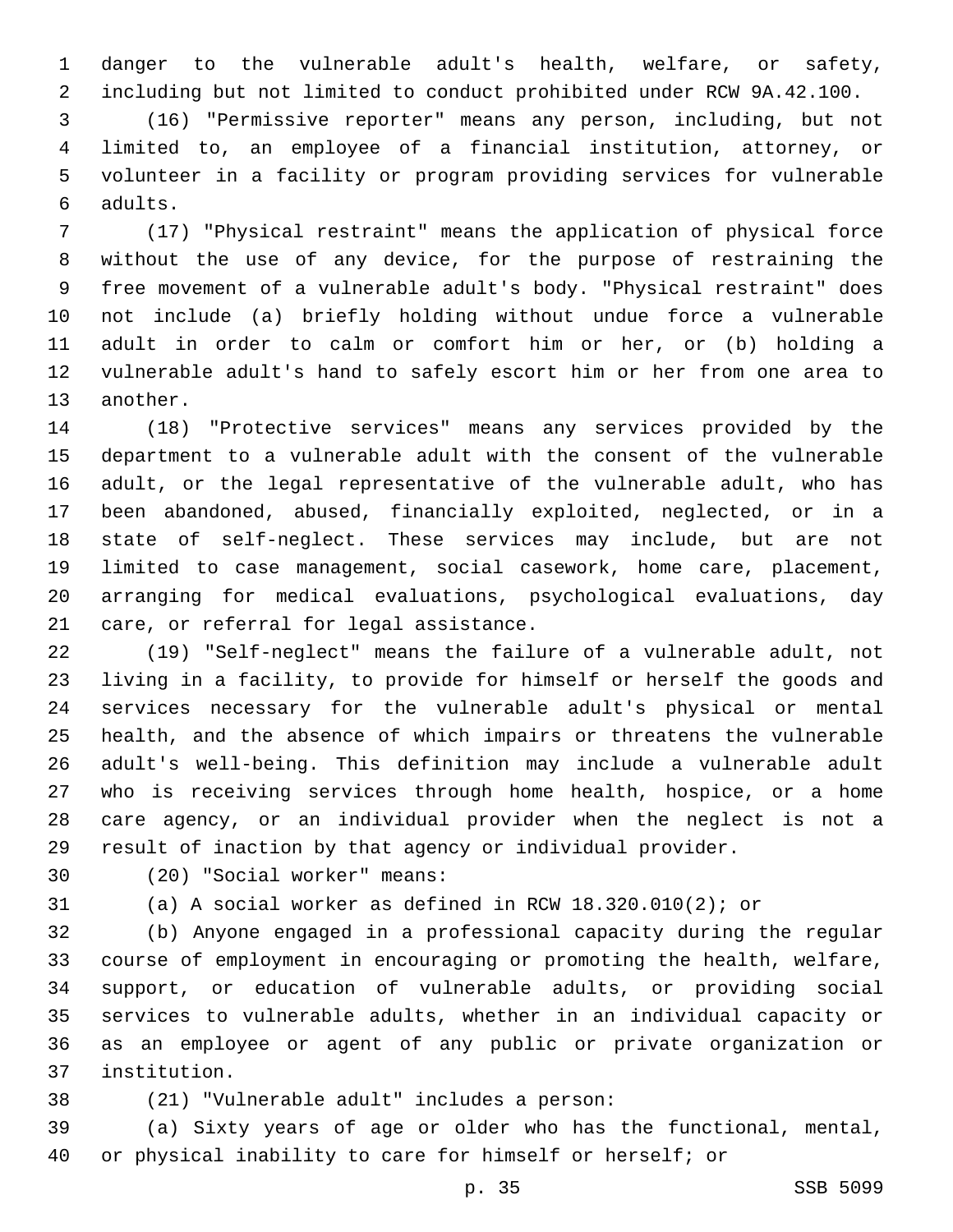danger to the vulnerable adult's health, welfare, or safety, including but not limited to conduct prohibited under RCW 9A.42.100.

 (16) "Permissive reporter" means any person, including, but not limited to, an employee of a financial institution, attorney, or volunteer in a facility or program providing services for vulnerable adults.6

 (17) "Physical restraint" means the application of physical force without the use of any device, for the purpose of restraining the free movement of a vulnerable adult's body. "Physical restraint" does not include (a) briefly holding without undue force a vulnerable adult in order to calm or comfort him or her, or (b) holding a vulnerable adult's hand to safely escort him or her from one area to 13 another.

 (18) "Protective services" means any services provided by the department to a vulnerable adult with the consent of the vulnerable adult, or the legal representative of the vulnerable adult, who has been abandoned, abused, financially exploited, neglected, or in a state of self-neglect. These services may include, but are not limited to case management, social casework, home care, placement, arranging for medical evaluations, psychological evaluations, day 21 care, or referral for legal assistance.

 (19) "Self-neglect" means the failure of a vulnerable adult, not living in a facility, to provide for himself or herself the goods and services necessary for the vulnerable adult's physical or mental health, and the absence of which impairs or threatens the vulnerable adult's well-being. This definition may include a vulnerable adult who is receiving services through home health, hospice, or a home care agency, or an individual provider when the neglect is not a result of inaction by that agency or individual provider.

(20) "Social worker" means:30

(a) A social worker as defined in RCW 18.320.010(2); or

 (b) Anyone engaged in a professional capacity during the regular course of employment in encouraging or promoting the health, welfare, support, or education of vulnerable adults, or providing social services to vulnerable adults, whether in an individual capacity or as an employee or agent of any public or private organization or institution.37

38 (21) "Vulnerable adult" includes a person:

 (a) Sixty years of age or older who has the functional, mental, or physical inability to care for himself or herself; or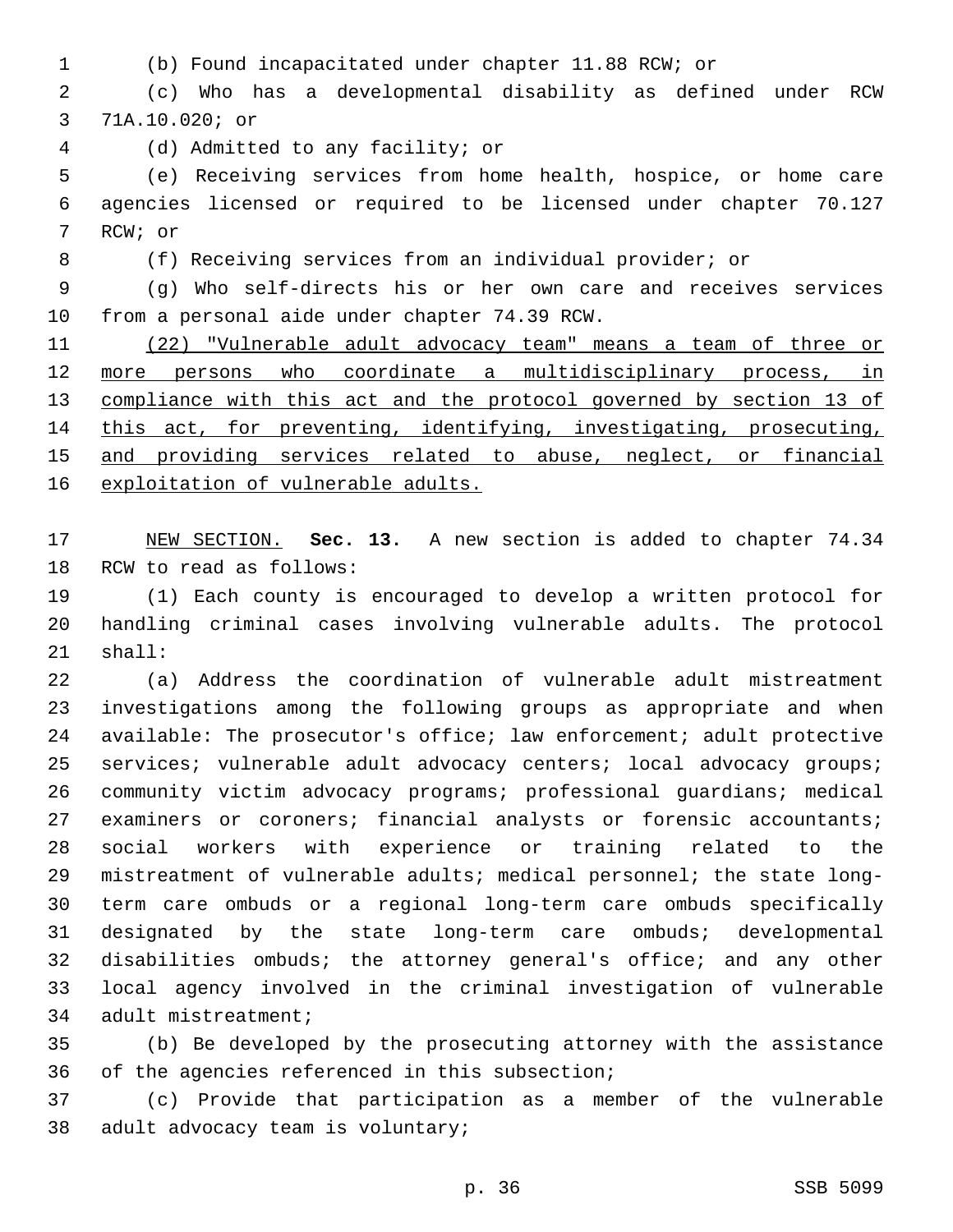1 (b) Found incapacitated under chapter 11.88 RCW; or

2 (c) Who has a developmental disability as defined under RCW 71A.10.020; or3

(d) Admitted to any facility; or4

5 (e) Receiving services from home health, hospice, or home care 6 agencies licensed or required to be licensed under chapter 70.127 7 RCW; or

8 (f) Receiving services from an individual provider; or

9 (g) Who self-directs his or her own care and receives services 10 from a personal aide under chapter 74.39 RCW.

11 (22) "Vulnerable adult advocacy team" means a team of three or 12 more persons who coordinate a multidisciplinary process, in 13 compliance with this act and the protocol governed by section 13 of 14 this act, for preventing, identifying, investigating, prosecuting, 15 and providing services related to abuse, neglect, or financial 16 exploitation of vulnerable adults.

17 NEW SECTION. **Sec. 13.** A new section is added to chapter 74.34 18 RCW to read as follows:

19 (1) Each county is encouraged to develop a written protocol for 20 handling criminal cases involving vulnerable adults. The protocol 21 shall:

 (a) Address the coordination of vulnerable adult mistreatment investigations among the following groups as appropriate and when available: The prosecutor's office; law enforcement; adult protective 25 services; vulnerable adult advocacy centers; local advocacy groups; community victim advocacy programs; professional guardians; medical 27 examiners or coroners; financial analysts or forensic accountants; social workers with experience or training related to the mistreatment of vulnerable adults; medical personnel; the state long- term care ombuds or a regional long-term care ombuds specifically designated by the state long-term care ombuds; developmental disabilities ombuds; the attorney general's office; and any other local agency involved in the criminal investigation of vulnerable 34 adult mistreatment;

35 (b) Be developed by the prosecuting attorney with the assistance 36 of the agencies referenced in this subsection;

37 (c) Provide that participation as a member of the vulnerable 38 adult advocacy team is voluntary;